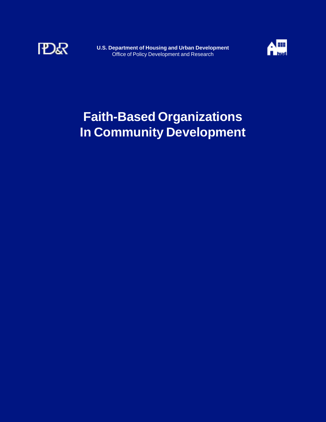

**U.S. Department of Housing and Urban Development**  Office of Policy Development and Research



# **Faith-Based Organizations In Community Development**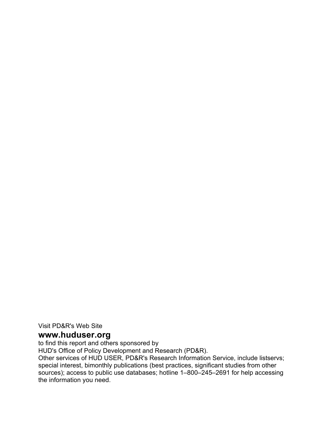Visit PD&R's Web Site

# **www.huduser.org**

to find this report and others sponsored by

HUD's Office of Policy Development and Research (PD&R).

Other services of HUD USER, PD&R's Research Information Service, include listservs; special interest, bimonthly publications (best practices, significant studies from other sources); access to public use databases; hotline 1–800–245–2691 for help accessing the information you need.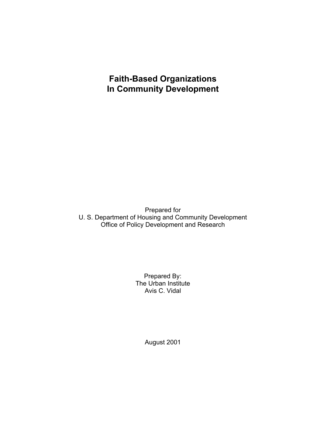# **Faith-Based Organizations In Community Development**

Prepared for U. S. Department of Housing and Community Development Office of Policy Development and Research

> Prepared By: The Urban Institute Avis C. Vidal

> > August 2001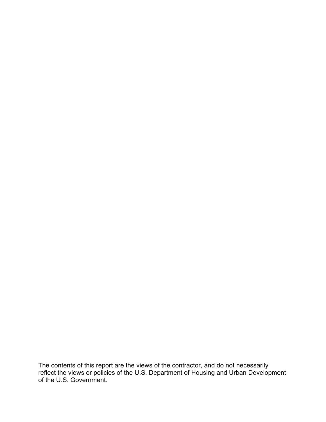The contents of this report are the views of the contractor, and do not necessarily reflect the views or policies of the U.S. Department of Housing and Urban Development of the U.S. Government.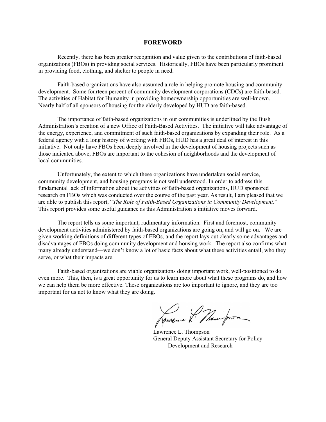#### **FOREWORD**

Recently, there has been greater recognition and value given to the contributions of faith-based organizations (FBOs) in providing social services. Historically, FBOs have been particularly prominent in providing food, clothing, and shelter to people in need.

Faith-based organizations have also assumed a role in helping promote housing and community development. Some fourteen percent of community development corporations (CDCs) are faith-based. The activities of Habitat for Humanity in providing homeownership opportunities are well-known. Nearly half of all sponsors of housing for the elderly developed by HUD are faith-based.

The importance of faith-based organizations in our communities is underlined by the Bush Administration's creation of a new Office of Faith-Based Activities. The initiative will take advantage of the energy, experience, and commitment of such faith-based organizations by expanding their role. As a federal agency with a long history of working with FBOs, HUD has a great deal of interest in this initiative. Not only have FBOs been deeply involved in the development of housing projects such as those indicated above, FBOs are important to the cohesion of neighborhoods and the development of local communities.

Unfortunately, the extent to which these organizations have undertaken social service, community development, and housing programs is not well understood. In order to address this fundamental lack of information about the activities of faith-based organizations, HUD sponsored research on FBOs which was conducted over the course of the past year. As result, I am pleased that we are able to publish this report, "*The Role of Faith-Based Organizations in Community Development*." This report provides some useful guidance as this Administration's initiative moves forward.

The report tells us some important, rudimentary information. First and foremost, community development activities administered by faith-based organizations are going on, and will go on. We are given working definitions of different types of FBOs, and the report lays out clearly some advantages and disadvantages of FBOs doing community development and housing work. The report also confirms what many already understand—we don't know a lot of basic facts about what these activities entail, who they serve, or what their impacts are.

Faith-based organizations are viable organizations doing important work, well-positioned to do even more. This, then, is a great opportunity for us to learn more about what these programs do, and how we can help them be more effective. These organizations are too important to ignore, and they are too important for us not to know what they are doing.

Jamene & Thempoon

Lawrence L. Thompson General Deputy Assistant Secretary for Policy Development and Research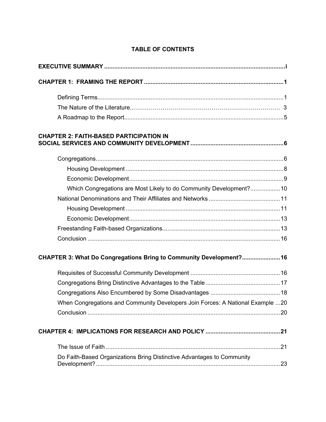| <b>CHAPTER 2: FAITH-BASED PARTICIPATION IN</b>                                 |  |
|--------------------------------------------------------------------------------|--|
|                                                                                |  |
|                                                                                |  |
|                                                                                |  |
| Which Congregations are Most Likely to do Community Development? 10            |  |
|                                                                                |  |
|                                                                                |  |
|                                                                                |  |
|                                                                                |  |
|                                                                                |  |
| CHAPTER 3: What Do Congregations Bring to Community Development? 16            |  |
|                                                                                |  |
|                                                                                |  |
|                                                                                |  |
| When Congregations and Community Developers Join Forces: A National Example 20 |  |
|                                                                                |  |
|                                                                                |  |
|                                                                                |  |
| Do Faith-Based Organizations Bring Distinctive Advantages to Community         |  |

# **TABLE OF CONTENTS**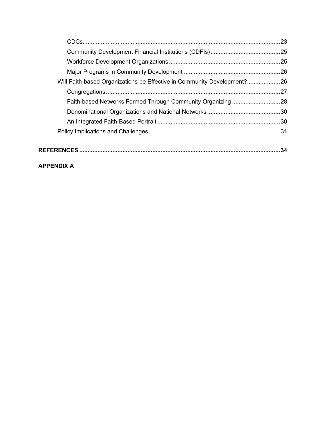| Will Faith-based Organizations be Effective in Community Development?26 |    |
|-------------------------------------------------------------------------|----|
|                                                                         |    |
|                                                                         |    |
|                                                                         |    |
|                                                                         |    |
|                                                                         |    |
|                                                                         |    |
|                                                                         | 34 |

# **APPENDIX A**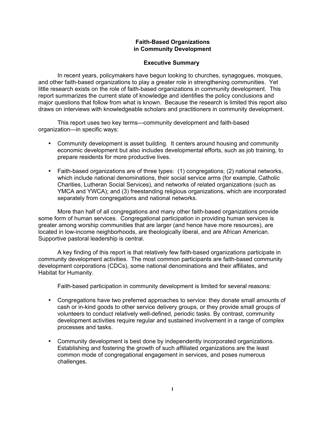# **Faith-Based Organizations in Community Development**

# **Executive Summary**

In recent years, policymakers have begun looking to churches, synagogues, mosques, and other faith-based organizations to play a greater role in strengthening communities. Yet little research exists on the role of faith-based organizations in community development. This report summarizes the current state of knowledge and identifies the policy conclusions and major questions that follow from what is known. Because the research is limited this report also draws on interviews with knowledgeable scholars and practitioners in community development.

This report uses two key terms—community development and faith-based organization—in specific ways:

- Community development is asset building. It centers around housing and community economic development but also includes developmental efforts, such as job training, to prepare residents for more productive lives.
- Faith-based organizations are of three types: (1) congregations; (2) national networks, which include national denominations, their social service arms (for example, Catholic Charities, Lutheran Social Services), and networks of related organizations (such as YMCA and YWCA); and (3) freestanding religious organizations, which are incorporated separately from congregations and national networks.

More than half of all congregations and many other faith-based organizations provide some form of human services. Congregational participation in providing human services is greater among worship communities that are larger (and hence have more resources), are located in low-income neighborhoods, are theologically liberal, and are African American. Supportive pastoral leadership is central.

A key finding of this report is that relatively few faith-based organizations participate in community development activities. The most common participants are faith-based community development corporations (CDCs), some national denominations and their affiliates, and Habitat for Humanity.

Faith-based participation in community development is limited for several reasons:

- Congregations have two preferred approaches to service: they donate small amounts of cash or in-kind goods to other service delivery groups, or they provide small groups of volunteers to conduct relatively well-defined, periodic tasks. By contrast, community development activities require regular and sustained involvement in a range of complex processes and tasks.
- Community development is best done by independently incorporated organizations. Establishing and fostering the growth of such affiliated organizations are the least common mode of congregational engagement in services, and poses numerous challenges.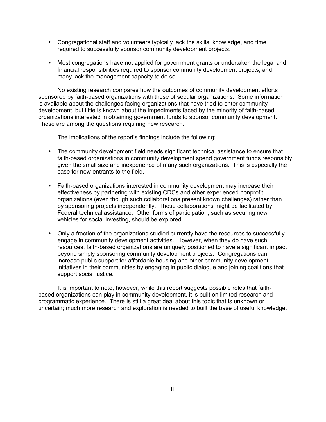- Congregational staff and volunteers typically lack the skills, knowledge, and time required to successfully sponsor community development projects.
- Most congregations have not applied for government grants or undertaken the legal and financial responsibilities required to sponsor community development projects, and many lack the management capacity to do so.

No existing research compares how the outcomes of community development efforts sponsored by faith-based organizations with those of secular organizations. Some information is available about the challenges facing organizations that have tried to enter community development, but little is known about the impediments faced by the minority of faith-based organizations interested in obtaining government funds to sponsor community development. These are among the questions requiring new research.

The implications of the report's findings include the following:

- The community development field needs significant technical assistance to ensure that faith-based organizations in community development spend government funds responsibly, given the small size and inexperience of many such organizations. This is especially the case for new entrants to the field.
- Faith-based organizations interested in community development may increase their effectiveness by partnering with existing CDCs and other experienced nonprofit organizations (even though such collaborations present known challenges) rather than by sponsoring projects independently. These collaborations might be facilitated by Federal technical assistance. Other forms of participation, such as securing new vehicles for social investing, should be explored.
- Only a fraction of the organizations studied currently have the resources to successfully engage in community development activities. However, when they do have such resources, faith-based organizations are uniquely positioned to have a significant impact beyond simply sponsoring community development projects. Congregations can increase public support for affordable housing and other community development initiatives in their communities by engaging in public dialogue and joining coalitions that support social justice.

It is important to note, however, while this report suggests possible roles that faithbased organizations can play in community development, it is built on limited research and programmatic experience. There is still a great deal about this topic that is unknown or uncertain; much more research and exploration is needed to built the base of useful knowledge.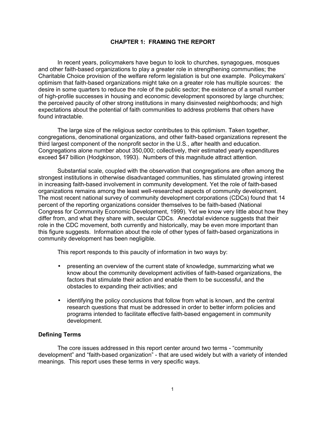# **CHAPTER 1: FRAMING THE REPORT**

In recent years, policymakers have begun to look to churches, synagogues, mosques and other faith-based organizations to play a greater role in strengthening communities; the Charitable Choice provision of the welfare reform legislation is but one example. Policymakers' optimism that faith-based organizations might take on a greater role has multiple sources: the desire in some quarters to reduce the role of the public sector; the existence of a small number of high-profile successes in housing and economic development sponsored by large churches; the perceived paucity of other strong institutions in many disinvested neighborhoods; and high expectations about the potential of faith communities to address problems that others have found intractable.

The large size of the religious sector contributes to this optimism. Taken together, congregations, denominational organizations, and other faith-based organizations represent the third largest component of the nonprofit sector in the U.S., after health and education. Congregations alone number about 350,000; collectively, their estimated yearly expenditures exceed \$47 billion (Hodgkinson, 1993). Numbers of this magnitude attract attention.

Substantial scale, coupled with the observation that congregations are often among the strongest institutions in otherwise disadvantaged communities, has stimulated growing interest in increasing faith-based involvement in community development. Yet the role of faith-based organizations remains among the least well-researched aspects of community development. The most recent national survey of community development corporations (CDCs) found that 14 percent of the reporting organizations consider themselves to be faith-based (National Congress for Community Economic Development, 1999). Yet we know very little about how they differ from, and what they share with, secular CDCs. Anecdotal evidence suggests that their role in the CDC movement, both currently and historically, may be even more important than this figure suggests. Information about the role of other types of faith-based organizations in community development has been negligible.

This report responds to this paucity of information in two ways by:

- presenting an overview of the current state of knowledge, summarizing what we know about the community development activities of faith-based organizations, the factors that stimulate their action and enable them to be successful, and the obstacles to expanding their activities; and
- identifying the policy conclusions that follow from what is known, and the central research questions that must be addressed in order to better inform policies and programs intended to facilitate effective faith-based engagement in community development.

# **Defining Terms**

The core issues addressed in this report center around two terms - "community development" and "faith-based organization" - that are used widely but with a variety of intended meanings. This report uses these terms in very specific ways.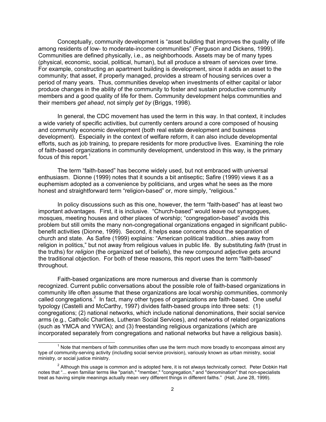Conceptually, community development is "asset building that improves the quality of life among residents of low- to moderate-income communities" (Ferguson and Dickens, 1999). Communities are defined physically, i.e., as neighborhoods. Assets may be of many types (physical, economic, social, political, human), but all produce a stream of services over time. For example, constructing an apartment building is development, since it adds an asset to the community; that asset, if properly managed, provides a stream of housing services over a period of many years. Thus, communities develop when investments of either capital or labor produce changes in the ability of the community to foster and sustain productive community members and a good quality of life for them. Community development helps communities and their members *get ahead*, not simply *get by* (Briggs, 1998).

In general, the CDC movement has used the term in this way. In that context, it includes a wide variety of specific activities, but currently centers around a core composed of housing and community economic development (both real estate development and business development). Especially in the context of welfare reform, it can also include developmental efforts, such as job training, to prepare residents for more productive lives. Examining the role of faith-based organizations in community development, understood in this way, is the primary focus of this report. $<sup>1</sup>$ </sup>

The term "faith-based" has become widely used, but not embraced with universal enthusiasm. Dionne (1999) notes that it sounds a bit antiseptic; Safire (1999) views it as a euphemism adopted as a convenience by politicians, and urges what he sees as the more honest and straightforward term "religion-based" or, more simply, "religious."

In policy discussions such as this one, however, the term "faith-based" has at least two important advantages. First, it is inclusive. "Church-based" would leave out synagogues, mosques, meeting houses and other places of worship; "congregation-based" avoids this problem but still omits the many non-congregational organizations engaged in significant publicbenefit activities (Dionne, 1999). Second, it helps ease concerns about the separation of church and state. As Safire (1999) explains: "American political tradition...shies away from religion in politics," but not away from religious values in public life. By substituting *faith* (trust in the truths) for *religion* (the organized set of beliefs), the new compound adjective gets around the traditional objection. For both of these reasons, this report uses the term "faith-based" throughout.

Faith-based organizations are more numerous and diverse than is commonly recognized. Current public conversations about the possible role of faith-based organizations in community life often assume that these organizations are local worship communities, commonly called congregations.<sup>2</sup> In fact, many other types of organizations are faith-based. One useful typology (Castelli and McCarthy, 1997) divides faith-based groups into three sets: (1) congregations; (2) national networks, which include national denominations, their social service arms (e.g., Catholic Charities, Lutheran Social Services), and networks of related organizations (such as YMCA and YWCA); and (3) freestanding religious organizations (which are incorporated separately from congregations and national networks but have a religious basis).

<sup>1</sup> Note that members of faith communities often use the term much more broadly to encompass almost any type of community-serving activity (including social service provision), variously known as urban ministry, social ministry, or social justice ministry.

 $^2$  Although this usage is common and is adopted here, it is not always technically correct. Peter Dobkin Hall notes that "... even familiar terms like "parish," "member," "congregation," and "denomination" that non-specialists treat as having simple meanings actually mean very different things in different faiths." (Hall, June 28, 1999).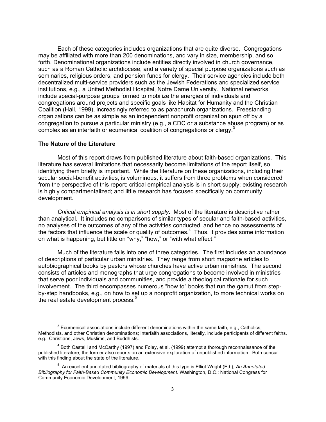Each of these categories includes organizations that are quite diverse. Congregations may be affiliated with more than 200 denominations, and vary in size, membership, and so forth. Denominational organizations include entities directly involved in church governance, such as a Roman Catholic archdiocese, and a variety of special purpose organizations such as seminaries, religious orders, and pension funds for clergy. Their service agencies include both decentralized multi-service providers such as the Jewish Federations and specialized service institutions, e.g., a United Methodist Hospital, Notre Dame University. National networks include special-purpose groups formed to mobilize the energies of individuals and congregations around projects and specific goals like Habitat for Humanity and the Christian Coalition (Hall, 1999), increasingly referred to as parachurch organizations. Freestanding organizations can be as simple as an independent nonprofit organization spun off by a congregation to pursue a particular ministry (e.g., a CDC or a substance abuse program) or as complex as an interfaith or ecumenical coalition of congregations or clergy.<sup>3</sup>

#### **The Nature of the Literature**

Most of this report draws from published literature about faith-based organizations. This literature has several limitations that necessarily become limitations of the report itself, so identifying them briefly is important. While the literature on these organizations, including their secular social-benefit activities, is voluminous, it suffers from three problems when considered from the perspective of this report: critical empirical analysis is in short supply; existing research is highly compartmentalized; and little research has focused specifically on community development.

*Critical empirical analysis is in short supply*. Most of the literature is descriptive rather than analytical. It includes no comparisons of similar types of secular and faith-based activities, no analyses of the outcomes of any of the activities conducted, and hence no assessments of the factors that influence the scale or quality of outcomes.<sup>4</sup> Thus, it provides some information on what is happening, but little on "why," "how," or "with what effect."

Much of the literature falls into one of three categories. The first includes an abundance of descriptions of particular urban ministries. They range from short magazine articles to autobiographical books by pastors whose churches have active urban ministries. The second consists of articles and monographs that urge congregations to become involved in ministries that serve poor individuals and communities, and provide a theological rationale for such involvement. The third encompasses numerous "how to" books that run the gamut from stepby-step handbooks, e.g., on how to set up a nonprofit organization, to more technical works on the real estate development process.<sup>5</sup>

 $^3$  Ecumenical associations include different denominations within the same faith, e.g., Catholics, Methodists, and other Christian denominations; interfaith associations, literally, include participants of different faiths, e.g., Christians, Jews, Muslims, and Buddhists.

<sup>&</sup>lt;sup>4</sup> Both Castelli and McCarthy (1997) and Foley, et al. (1999) attempt a thorough reconnaissance of the published literature; the former also reports on an extensive exploration of unpublished information. Both concur with this finding about the state of the literature.

<sup>5</sup> An excellent annotated bibliography of materials of this type is Elliot Wright (Ed.), *An Annotated Bibliography for Faith-Based Community Economic Development*. Washington, D.C.: National Congress for Community Economic Development, 1999.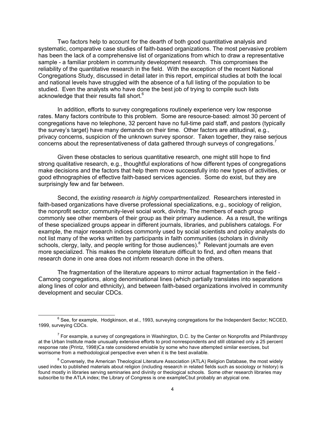Two factors help to account for the dearth of both good quantitative analysis and systematic, comparative case studies of faith-based organizations. The most pervasive problem has been the lack of a comprehensive list of organizations from which to draw a representative sample - a familiar problem in community development research. This compromises the reliability of the quantitative research in the field. With the exception of the recent National Congregations Study, discussed in detail later in this report, empirical studies at both the local and national levels have struggled with the absence of a full listing of the population to be studied. Even the analysts who have done the best job of trying to compile such lists acknowledge that their results fall short.<sup>6</sup>

In addition, efforts to survey congregations routinely experience very low response rates. Many factors contribute to this problem. Some are resource-based: almost 30 percent of congregations have no telephone, 32 percent have no full-time paid staff, and pastors (typically the survey's target) have many demands on their time. Other factors are attitudinal, e.g., privacy concerns, suspicion of the unknown survey sponsor. Taken together, they raise serious concerns about the representativeness of data gathered through surveys of congregations.<sup>7</sup>

Given these obstacles to serious quantitative research, one might still hope to find strong qualitative research, e.g., thoughtful explorations of how different types of congregations make decisions and the factors that help them move successfully into new types of activities, or good ethnographies of effective faith-based services agencies. Some do exist, but they are surprisingly few and far between.

Second, the *existing research is highly compartmentalized*. Researchers interested in faith-based organizations have diverse professional specializations, e.g., sociology of religion, the nonprofit sector, community-level social work, divinity. The members of each group commonly see other members of their group as their primary audience. As a result, the writings of these specialized groups appear in different journals, libraries, and publishers catalogs. For example, the major research indices commonly used by social scientists and policy analysts do not list many of the works written by participants in faith communities (scholars in divinity schools, clergy, laity, and people writing for those audiences).<sup>8</sup> Relevant journals are even more specialized. This makes the complete literature difficult to find, and often means that research done in one area does not inform research done in the others.

The fragmentation of the literature appears to mirror actual fragmentation in the field - Camong congregations, along denominational lines (which partially translates into separations along lines of color and ethnicity), and between faith-based organizations involved in community development and secular CDCs.

 $^6$  See, for example, Hodgkinson, et al., 1993, surveying congregations for the Independent Sector; NCCED, 1999, surveying CDCs.

 $<sup>7</sup>$  For example, a survey of congregations in Washington, D.C. by the Center on Nonprofits and Philanthropy</sup> at the Urban Institute made unusually extensive efforts to prod nonrespondents and still obtained only a 25 percent response rate (Printz, 1998)Ca rate considered enviable by some who have attempted similar exercises, but worrisome from a methodological perspective even when it is the best available.

<sup>&</sup>lt;sup>8</sup> Conversely, the American Theological Literature Association (ATLA) Religion Database, the most widely used index to published materials about religion (including research in related fields such as sociology or history) is found mostly in libraries serving seminaries and divinity or theological schools. Some other research libraries may subscribe to the ATLA index; the Library of Congress is one exampleCbut probably an atypical one.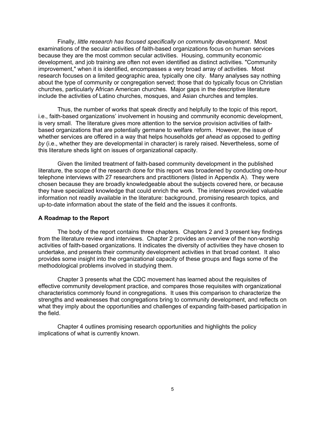Finally, *little research has focused specifically on community development*. Most examinations of the secular activities of faith-based organizations focus on human services because they are the most common secular activities. Housing, community economic development, and job training are often not even identified as distinct activities. "Community improvement," when it is identified, encompasses a very broad array of activities. Most research focuses on a limited geographic area, typically one city. Many analyses say nothing about the type of community or congregation served; those that do typically focus on Christian churches, particularly African American churches. Major gaps in the descriptive literature include the activities of Latino churches, mosques, and Asian churches and temples.

Thus, the number of works that speak directly and helpfully to the topic of this report, i.e., faith-based organizations' involvement in housing and community economic development, is very small. The literature gives more attention to the service provision activities of faithbased organizations that are potentially germane to welfare reform. However, the issue of whether services are offered in a way that helps households *get ahead* as opposed to *getting by* (i.e., whether they are developmental in character) is rarely raised. Nevertheless, some of this literature sheds light on issues of organizational capacity.

Given the limited treatment of faith-based community development in the published literature, the scope of the research done for this report was broadened by conducting one-hour telephone interviews with 27 researchers and practitioners (listed in Appendix A). They were chosen because they are broadly knowledgeable about the subjects covered here, or because they have specialized knowledge that could enrich the work. The interviews provided valuable information not readily available in the literature: background, promising research topics, and up-to-date information about the state of the field and the issues it confronts.

#### **A Roadmap to the Report**

The body of the report contains three chapters. Chapters 2 and 3 present key findings from the literature review and interviews. Chapter 2 provides an overview of the non-worship activities of faith-based organizations. It indicates the diversity of activities they have chosen to undertake, and presents their community development activities in that broad context. It also provides some insight into the organizational capacity of these groups and flags some of the methodological problems involved in studying them.

Chapter 3 presents what the CDC movement has learned about the requisites of effective community development practice, and compares those requisites with organizational characteristics commonly found in congregations. It uses this comparison to characterize the strengths and weaknesses that congregations bring to community development, and reflects on what they imply about the opportunities and challenges of expanding faith-based participation in the field.

Chapter 4 outlines promising research opportunities and highlights the policy implications of what is currently known.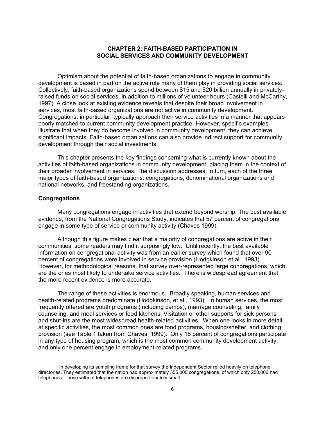# **CHAPTER 2: FAITH-BASED PARTICIPATION IN SOCIAL SERVICES AND COMMUNITY DEVELOPMENT**

Optimism about the potential of faith-based organizations to engage in community development is based in part on the active role many of them play in providing social services. Collectively, faith-based organizations spend between \$15 and \$20 billion annually in privatelyraised funds on social services, in addition to millions of volunteer hours (Castelli and McCarthy, 1997). A close look at existing evidence reveals that despite their broad involvement in services, most faith-based organizations are not active in community development. Congregations, in particular, typically approach their service activities in a manner that appears poorly matched to current community development practice. However, specific examples illustrate that when they do become involved in community development, they can achieve significant impacts. Faith-based organizations can also provide indirect support for community development through their social investments.

This chapter presents the key findings concerning what is currently known about the activities of faith-based organizations in community development, placing them in the context of their broader involvement in services. The discussion addresses, in turn, each of the three major types of faith-based organizations: congregations, denominational organizations and national networks, and freestanding organizations.

#### **Congregations**

Many congregations engage in activities that extend beyond worship. The best available evidence, from the National Congregations Study, indicates that 57 percent of congregations engage in some type of service or community activity (Chaves 1999).

Although this figure makes clear that a majority of congregations are active in their communities, some readers may find it surprisingly low. Until recently, the best available information on congregational activity was from an earlier survey which found that over 90 percent of congregations were involved in service provision (Hodgkinson et al., 1993). However, for methodological reasons, that survey over-represented large congregations, which are the ones most likely to undertake service activities.<sup>9</sup> There is widespread agreement that the more recent evidence is more accurate.

The range of these activities is enormous. Broadly speaking, human services and health-related programs predominate (Hodgkinson, et al., 1993). In human services, the most frequently offered are youth programs (including camps), marriage counseling, family counseling, and meal services or food kitchens. Visitation or other supports for sick persons and shut-ins are the most widespread health-related activities. When one looks in more detail at specific activities, the most common ones are food programs, housing/shelter, and clothing provision (see Table 1 taken from Chaves, 1999). Only 18 percent of congregations participate in any type of housing program, which is the most common community development activity, and only one percent engage in employment-related programs.

 $9$ In developing its sampling frame for that survey the Independent Sector relied heavily on telephone directories. They estimated that the nation had approximately 355,000 congregations, of which only 250,000 had telephones. Those without telephones are disproportionately small.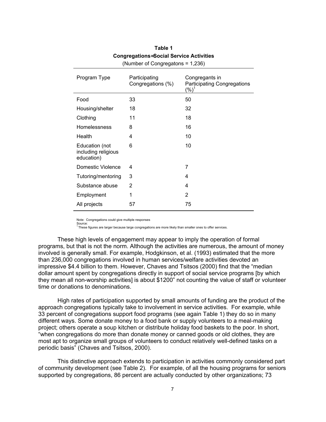| Program Type                                        | Participating<br>Congregations (%) | Congregants in<br><b>Participating Congregations</b><br>$(\% )$ |
|-----------------------------------------------------|------------------------------------|-----------------------------------------------------------------|
| Food                                                | 33                                 | 50                                                              |
| Housing/shelter                                     | 18                                 | 32                                                              |
| Clothing                                            | 11                                 | 18                                                              |
| Homelessness                                        | 8                                  | 16                                                              |
| Health                                              | 4                                  | 10                                                              |
| Education (not<br>including religious<br>education) | 6                                  | 10                                                              |
| Domestic Violence                                   | 4                                  | 7                                                               |
| Tutoring/mentoring                                  | 3                                  | 4                                                               |
| Substance abuse                                     | 2                                  | 4                                                               |
| Employment                                          | 1                                  | 2                                                               |
| All projects                                        | 57                                 | 75                                                              |

# **Table 1 Congregations= Social Service Activities**  (Number of Congregatons = 1,236)

Note: Congregations could give multiple responses

Source: 1 These figures are larger because large congregations are more likely than smaller ones to offer services.

These high levels of engagement may appear to imply the operation of formal programs, but that is not the norm. Although the activities are numerous, the amount of money involved is generally small. For example, Hodgkinson, et al. (1993) estimated that the more than 236,000 congregations involved in human services/welfare activities devoted an impressive \$4.4 billion to them. However, Chaves and Tsitsos (2000) find that the "median dollar amount spent by congregations directly in support of social service programs [by which they mean all non-worship activities] is about \$1200" not counting the value of staff or volunteer time or donations to denominations.

High rates of participation supported by small amounts of funding are the product of the approach congregations typically take to involvement in service activities. For example, while 33 percent of congregations support food programs (see again Table 1) they do so in many different ways. Some donate money to a food bank or supply volunteers to a meal-making project; others operate a soup kitchen or distribute holiday food baskets to the poor. In short, "when congregations do more than donate money or canned goods or old clothes, they are most apt to organize small groups of volunteers to conduct relatively well-defined tasks on a periodic basis" (Chaves and Tsitsos, 2000).

This distinctive approach extends to participation in activities commonly considered part of community development (see Table 2). For example, of all the housing programs for seniors supported by congregations, 86 percent are actually conducted by other organizations; 73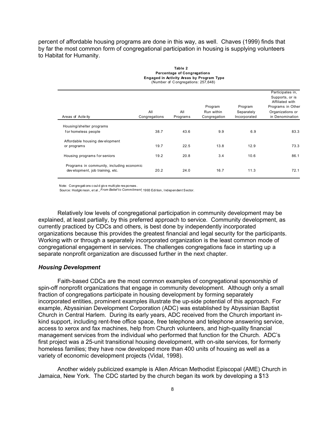percent of affordable housing programs are done in this way, as well. Chaves (1999) finds that by far the most common form of congregational participation in housing is supplying volunteers to Habitat for Humanity.

| Engaged in Activity Areas by Frogram Type<br>(Number of Congregations: 257,648) |               |          |              |              |                                    |  |  |
|---------------------------------------------------------------------------------|---------------|----------|--------------|--------------|------------------------------------|--|--|
|                                                                                 |               |          |              |              | Participates in,                   |  |  |
|                                                                                 |               |          |              |              | Supports, or is<br>Affiliated with |  |  |
|                                                                                 |               |          | Program      | Program      | Programs in Other                  |  |  |
|                                                                                 | All           | All      | Run within   | Separately   | Organizations or                   |  |  |
| Areas of Activity                                                               | Congregations | Programs | Congregation | Incorporated | in Denomination                    |  |  |
| Housing/shelter programs                                                        |               |          |              |              |                                    |  |  |
| for homeless people                                                             | 38.7          | 43.6     | 9.9          | 6.9          | 83.3                               |  |  |
| Affordable housing development                                                  |               |          |              |              |                                    |  |  |
| or programs                                                                     | 19.7          | 22.5     | 13.8         | 12.9         | 73.3                               |  |  |
| Housing programs for seniors                                                    | 19.2          | 20.8     | 3.4          | 10.6         | 86.1                               |  |  |
| Programs in community, including economic<br>dev elopment, job training, etc.   | 20.2          | 24.0     | 16.7         | 11.3         | 72.1                               |  |  |

#### **Table 2 Percentage of Congregations Engaged in Activity Areas by Program Type**

Note: Congregati ons c oul d giv e multi ple res ponses.

Source: Hodgki nson, et al ., *From Belief to Commitment*, 1993 Edi tion, Independent Sector.

Relatively low levels of congregational participation in community development may be explained, at least partially, by this preferred approach to service. Community development, as currently practiced by CDCs and others, is best done by independently incorporated organizations because this provides the greatest financial and legal security for the participants. Working with or through a separately incorporated organization is the least common mode of congregational engagement in services. The challenges congregations face in starting up a separate nonprofit organization are discussed further in the next chapter.

## *Housing Development*

Faith-based CDCs are the most common examples of congregational sponsorship of spin-off nonprofit organizations that engage in community development. Although only a small fraction of congregations participate in housing development by forming separately incorporated entities, prominent examples illustrate the up-side potential of this approach. For example, Abyssinian Development Corporation (ADC) was established by Abyssinian Baptist Church in Central Harlem. During its early years, ADC received from the Church important inkind support, including rent-free office space, free telephone and telephone answering service, access to xerox and fax machines, help from Church volunteers, and high-quality financial management services from the individual who performed that function for the Church. ADC's first project was a 25-unit transitional housing development, with on-site services, for formerly homeless families; they have now developed more than 400 units of housing as well as a variety of economic development projects (Vidal, 1998).

Another widely publicized example is Allen African Methodist Episcopal (AME) Church in Jamaica, New York. The CDC started by the church began its work by developing a \$13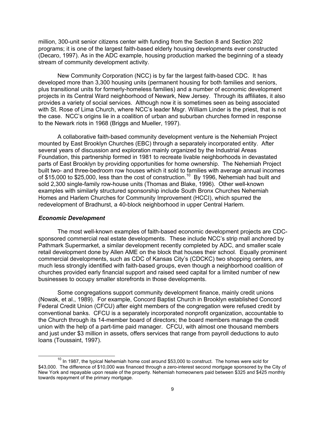million, 300-unit senior citizens center with funding from the Section 8 and Section 202 programs; it is one of the largest faith-based elderly housing developments ever constructed (Decaro, 1997). As in the ADC example, housing production marked the beginning of a steady stream of community development activity.

New Community Corporation (NCC) is by far the largest faith-based CDC. It has developed more than 3,300 housing units (permanent housing for both families and seniors, plus transitional units for formerly-homeless families) and a number of economic development projects in its Central Ward neighborhood of Newark, New Jersey. Through its affiliates, it also provides a variety of social services. Although now it is sometimes seen as being associated with St. Rose of Lima Church, where NCC's leader Msgr. William Linder is the priest, that is not the case. NCC's origins lie in a coalition of urban and suburban churches formed in response to the Newark riots in 1968 (Briggs and Mueller, 1997).

A collaborative faith-based community development venture is the Nehemiah Project mounted by East Brooklyn Churches (EBC) through a separately incorporated entity. After several years of discussion and exploration mainly organized by the Industrial Areas Foundation, this partnership formed in 1981 to recreate livable neighborhoods in devastated parts of East Brooklyn by providing opportunities for home ownership. The Nehemiah Project built two- and three-bedroom row houses which it sold to families with average annual incomes of \$15,000 to \$25,000, less than the cost of construction.<sup>10</sup> By 1996, Nehemiah had built and sold 2,300 single-family row-house units (Thomas and Blake, 1996). Other well-known examples with similarly structured sponsorship include South Bronx Churches Nehemiah Homes and Harlem Churches for Community Improvement (HCCI), which spurred the redevelopment of Bradhurst, a 40-block neighborhood in upper Central Harlem.

#### *Economic Development*

The most well-known examples of faith-based economic development projects are CDCsponsored commercial real estate developments. These include NCC's strip mall anchored by Pathmark Supermarket, a similar development recently completed by ADC, and smaller scale retail development done by Allen AME on the block that houses their school. Equally prominent commercial developments, such as CDC of Kansas City's (CDCKC) two shopping centers, are much less strongly identified with faith-based groups, even though a neighborhood coalition of churches provided early financial support and raised seed capital for a limited number of new businesses to occupy smaller storefronts in those developments.

Some congregations support community development finance, mainly credit unions (Nowak, et al., 1989). For example, Concord Baptist Church in Brooklyn established Concord Federal Credit Union (CFCU) after eight members of the congregation were refused credit by conventional banks. CFCU is a separately incorporated nonprofit organization, accountable to the Church through its 14-member board of directors; the board members manage the credit union with the help of a part-time paid manager. CFCU, with almost one thousand members and just under \$3 million in assets, offers services that range from payroll deductions to auto loans (Toussaint, 1997).

 $10$  In 1987, the typical Nehemiah home cost around \$53,000 to construct. The homes were sold for \$43,000. The difference of \$10,000 was financed through a zero-interest second mortgage sponsored by the City of New York and repayable upon resale of the property. Nehemiah homeowners paid between \$325 and \$425 monthly towards repayment of the primary mortgage.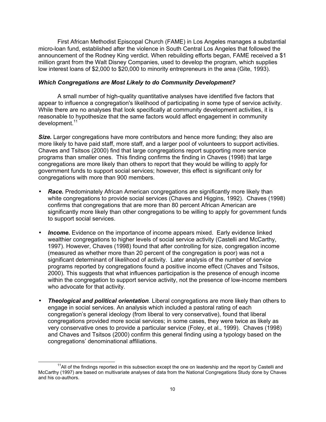First African Methodist Episcopal Church (FAME) in Los Angeles manages a substantial micro-loan fund, established after the violence in South Central Los Angeles that followed the announcement of the Rodney King verdict. When rebuilding efforts began, FAME received a \$1 million grant from the Walt Disney Companies, used to develop the program, which supplies low interest loans of \$2,000 to \$20,000 to minority entrepreneurs in the area (Gite, 1993).

#### *Which Congregations are Most Likely to do Community Development?*

A small number of high-quality quantitative analyses have identified five factors that appear to influence a congregation's likelihood of participating in some type of service activity. While there are no analyses that look specifically at community development activities, it is reasonable to hypothesize that the same factors would affect engagement in community  $d$ evelopment.<sup>17</sup>

**Size.** Larger congregations have more contributors and hence more funding; they also are more likely to have paid staff, more staff, and a larger pool of volunteers to support activities. Chaves and Tsitsos (2000) find that large congregations report supporting more service programs than smaller ones. This finding confirms the finding in Chaves (1998) that large congregations are more likely than others to report that they would be willing to apply for government funds to support social services; however, this effect is significant only for congregations with more than 900 members.

- **Race.** Predominately African American congregations are significantly more likely than white congregations to provide social services (Chaves and Higgins, 1992). Chaves (1998) confirms that congregations that are more than 80 percent African American are significantly more likely than other congregations to be willing to apply for government funds to support social services.
- **Income.** Evidence on the importance of income appears mixed. Early evidence linked wealthier congregations to higher levels of social service activity (Castelli and McCarthy, 1997). However, Chaves (1998) found that after controlling for size, congregation income (measured as whether more than 20 percent of the congregation is poor) was not a significant determinant of likelihood of activity. Later analysis of the number of service programs reported by congregations found a positive income effect (Chaves and Tsitsos, 2000). This suggests that what influences participation is the presence of enough income within the congregation to support service activity, not the presence of low-income members who advocate for that activity.
- *Theological and political orientation.* Liberal congregations are more likely than others to engage in social services. An analysis which included a pastoral rating of each congregation's general ideology (from liberal to very conservative), found that liberal congregations provided more social services; in some cases, they were twice as likely as very conservative ones to provide a particular service (Foley, et al., 1999). Chaves (1998) and Chaves and Tsitsos (2000) confirm this general finding using a typology based on the congregations' denominational affiliations.

<sup>&</sup>lt;sup>11</sup>All of the findings reported in this subsection except the one on leadership and the report by Castelli and McCarthy (1997) are based on multivariate analyses of data from the National Congregations Study done by Chaves and his co-authors.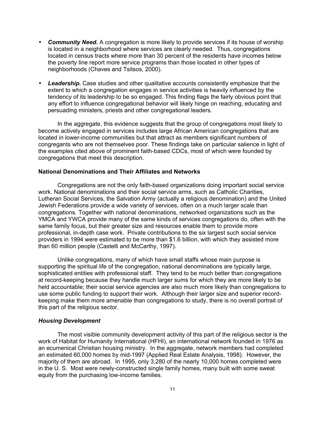- *Community Need.* A congregation is more likely to provide services if its house of worship is located in a neighborhood where services are clearly needed. Thus, congregations located in census tracts where more than 30 percent of the residents have incomes below the poverty line report more service programs than those located in other types of neighborhoods (Chaves and Tsitsos, 2000).
- *Leadership***.** Case studies and other qualitative accounts consistently emphasize that the extent to which a congregation engages in service activities is heavily influenced by the tendency of its leadership to be so engaged. This finding flags the fairly obvious point that any effort to influence congregational behavior will likely hinge on reaching, educating and persuading ministers, priests and other congregational leaders.

In the aggregate, this evidence suggests that the group of congregations most likely to become actively engaged in services includes large African American congregations that are located in lower-income communities but that attract as members significant numbers of congregants who are not themselves poor. These findings take on particular salience in light of the examples cited above of prominent faith-based CDCs, most of which were founded by congregations that meet this description.

#### **National Denominations and Their Affiliates and Networks**

Congregations are not the only faith-based organizations doing important social service work. National denominations and their social service arms, such as Catholic Charities, Lutheran Social Services, the Salvation Army (actually a religious denomination) and the United Jewish Federations provide a wide variety of services, often on a much larger scale than congregations. Together with national denominations, networked organizations such as the YMCA and YWCA provide many of the same kinds of services congregations do, often with the same family focus, but their greater size and resources enable them to provide more professional, in-depth case work. Private contributions to the six largest such social service providers in 1994 were estimated to be more than \$1.6 billion, with which they assisted more than 60 million people (Castelli and McCarthy, 1997).

Unlike congregations, many of which have small staffs whose main purpose is supporting the spiritual life of the congregation, national denominations are typically large, sophisticated entities with professional staff. They tend to be much better than congregations at record-keeping because they handle much larger sums for which they are more likely to be held accountable; their social service agencies are also much more likely than congregations to use some public funding to support their work. Although their larger size and superior recordkeeping make them more amenable than congregations to study, there is no overall portrait of this part of the religious sector.

#### *Housing Development*

The most visible community development activity of this part of the religious sector is the work of Habitat for Humanity International (HFHI), an international network founded in 1976 as an ecumenical Christian housing ministry. In the aggregate, network members had completed an estimated 60,000 homes by mid-1997 (Applied Real Estate Analysis, 1998). However, the majority of them are abroad. In 1995, only 3,280 of the nearly 10,000 homes completed were in the U. S. Most were newly-constructed single family homes, many built with some sweat equity from the purchasing low-income families.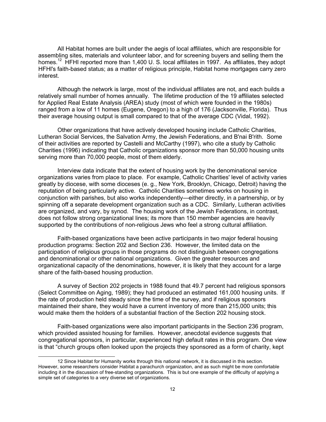All Habitat homes are built under the aegis of local affiliates, which are responsible for assembling sites, materials and volunteer labor, and for screening buyers and selling them the homes.<sup>12</sup> HFHI reported more than 1,400 U. S. local affiliates in 1997. As affiliates, they adopt HFHl's faith-based status; as a matter of religious principle, Habitat home mortgages carry zero interest.

Although the network is large, most of the individual affiliates are not, and each builds a relatively small number of homes annually. The lifetime production of the 19 affiliates selected for Applied Real Estate Analysis (AREA) study (most of which were founded in the 1980s) ranged from a low of 11 homes (Eugene, Oregon) to a high of 176 (Jacksonville, Florida). Thus their average housing output is small compared to that of the average CDC (Vidal, 1992).

Other organizations that have actively developed housing include Catholic Charities, Lutheran Social Services, the Salvation Army, the Jewish Federations, and B'nai B'rith. Some of their activities are reported by Castelli and McCarthy (1997), who cite a study by Catholic Charities (1996) indicating that Catholic organizations sponsor more than 50,000 housing units serving more than 70,000 people, most of them elderly.

Interview data indicate that the extent of housing work by the denominational service organizations varies from place to place. For example, Catholic Charities' level of activity varies greatly by diocese, with some dioceses (e. g., New York, Brooklyn, Chicago, Detroit) having the reputation of being particularly active. Catholic Charities sometimes works on housing in conjunction with parishes, but also works independently—either directly, in a partnership, or by spinning off a separate development organization such as a CDC. Similarly, Lutheran activities are organized, and vary, by synod. The housing work of the Jewish Federations, in contrast, does not follow strong organizational lines; its more than 150 member agencies are heavily supported by the contributions of non-religious Jews who feel a strong cultural affiliation.

Faith-based organizations have been active participants in two major federal housing production programs: Section 202 and Section 236. However, the limited data on the participation of religious groups in those programs do not distinguish between congregations and denominational or other national organizations. Given the greater resources and organizational capacity of the denominations, however, it is likely that they account for a large share of the faith-based housing production.

A survey of Section 202 projects in 1988 found that 49.7 percent had religious sponsors (Select Committee on Aging, 1989); they had produced an estimated 161,000 housing units. If the rate of production held steady since the time of the survey, and if religious sponsors maintained their share, they would have a current inventory of more than 215,000 units; this would make them the holders of a substantial fraction of the Section 202 housing stock.

Faith-based organizations were also important participants in the Section 236 program, which provided assisted housing for families. However, anecdotal evidence suggests that congregational sponsors, in particular, experienced high default rates in this program. One view is that "church groups often looked upon the projects they sponsored as a form of charity, kept

<sup>12</sup> Since Habitat for Humanity works through this national network, it is discussed in this section. However, some researchers consider Habitat a parachurch organization, and as such might be more comfortable including it in the discussion of free-standing organizations. This is but one example of the difficulty of applying a simple set of categories to a very diverse set of organizations.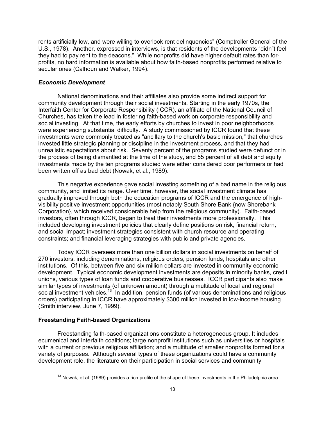rents artificially low, and were willing to overlook rent delinquencies" (Comptroller General of the U.S., 1978). Another, expressed in interviews, is that residents of the developments "didn"t feel they had to pay rent to the deacons." While nonprofits did have higher default rates than forprofits, no hard information is available about how faith-based nonprofits performed relative to secular ones (Calhoun and Walker, 1994).

# *Economic Development*

National denominations and their affiliates also provide some indirect support for community development through their social investments. Starting in the early 1970s, the Interfaith Center for Corporate Responsibility (ICCR), an affiliate of the National Council of Churches, has taken the lead in fostering faith-based work on corporate responsibility and social investing. At that time, the early efforts by churches to invest in poor neighborhoods were experiencing substantial difficulty. A study commissioned by ICCR found that these investments were commonly treated as "ancillary to the church's basic mission," that churches invested little strategic planning or discipline in the investment process, and that they had unrealistic expectations about risk. Seventy percent of the programs studied were defunct or in the process of being dismantled at the time of the study, and 55 percent of all debt and equity investments made by the ten programs studied were either considered poor performers or had been written off as bad debt (Nowak, et al., 1989).

This negative experience gave social investing something of a bad name in the religious community, and limited its range. Over time, however, the social investment climate has gradually improved through both the education programs of ICCR and the emergence of highvisibility positive investment opportunities (most notably South Shore Bank {now Shorebank Corporation}, which received considerable help from the religious community). Faith-based investors, often through ICCR, began to treat their investments more professionally. This included developing investment policies that clearly define positions on risk, financial return, and social impact; investment strategies consistent with church resource and operating constraints; and financial leveraging strategies with public and private agencies.

Today ICCR oversees more than one billion dollars in social investments on behalf of 270 investors, including denominations, religious orders, pension funds, hospitals and other institutions. Of this, between five and six million dollars are invested in community economic development. Typical economic development investments are deposits in minority banks, credit unions, various types of loan funds and cooperative businesses. ICCR participants also make similar types of investments (of unknown amount) through a multitude of local and regional social investment vehicles.<sup>13</sup> In addition, pension funds (of various denominations and religious orders) participating in ICCR have approximately \$300 million invested in low-income housing (Smith interview, June 7, 1999).

# **Freestanding Faith-based Organizations**

Freestanding faith-based organizations constitute a heterogeneous group. It includes ecumenical and interfaith coalitions; large nonprofit institutions such as universities or hospitals with a current or previous religious affiliation; and a multitude of smaller nonprofits formed for a variety of purposes. Although several types of these organizations could have a community development role, the literature on their participation in social services and community

 $13$  Nowak, et al. (1989) provides a rich profile of the shape of these investments in the Philadelphia area.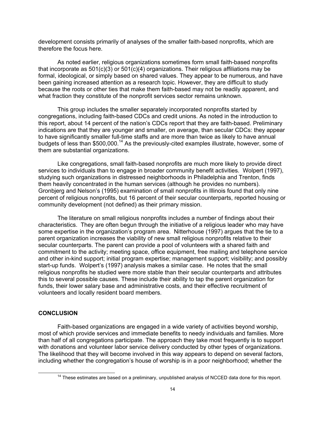development consists primarily of analyses of the smaller faith-based nonprofits, which are therefore the focus here.

As noted earlier, religious organizations sometimes form small faith-based nonprofits that incorporate as  $501(c)(3)$  or  $501(c)(4)$  organizations. Their religious affiliations may be formal, ideological, or simply based on shared values. They appear to be numerous, and have been gaining increased attention as a research topic. However, they are difficult to study because the roots or other ties that make them faith-based may not be readily apparent, and what fraction they constitute of the nonprofit services sector remains unknown.

This group includes the smaller separately incorporated nonprofits started by congregations, including faith-based CDCs and credit unions. As noted in the introduction to this report, about 14 percent of the nation's CDCs report that they are faith-based. Preliminary indications are that they are younger and smaller, on average, than secular CDCs: they appear to have significantly smaller full-time staffs and are more than twice as likely to have annual budgets of less than \$500,000.<sup>14</sup> As the previously-cited examples illustrate, however, some of them are substantial organizations.

Like congregations, small faith-based nonprofits are much more likely to provide direct services to individuals than to engage in broader community benefit activities. Wolpert (1997), studying such organizations in distressed neighborhoods in Philadelphia and Trenton, finds them heavily concentrated in the human services (although he provides no numbers). Gronbjerg and Nelson's (1995) examination of small nonprofits in Illinois found that only nine percent of religious nonprofits, but 16 percent of their secular counterparts, reported housing or community development (not defined) as their primary mission.

The literature on small religious nonprofits includes a number of findings about their characteristics. They are often begun through the initiative of a religious leader who may have some expertise in the organization's program area. Nitterhouse (1997) argues that the tie to a parent organization increases the viability of new small religious nonprofits relative to their secular counterparts. The parent can provide a pool of volunteers with a shared faith and commitment to the activity; meeting space, office equipment, free mailing and telephone service and other in-kind support; initial program expertise; management support; visibility; and possibly start-up funds. Wolpert's (1997) analysis makes a similar case. He notes that the small religious nonprofits he studied were more stable than their secular counterparts and attributes this to several possible causes. These include their ability to tap the parent organization for funds, their lower salary base and administrative costs, and their effective recruitment of volunteers and locally resident board members.

## **CONCLUSION**

Faith-based organizations are engaged in a wide variety of activities beyond worship, most of which provide services and immediate benefits to needy individuals and families. More than half of all congregations participate. The approach they take most frequently is to support with donations and volunteer labor service delivery conducted by other types of organizations. The likelihood that they will become involved in this way appears to depend on several factors, including whether the congregation's house of worship is in a poor neighborhood; whether the

<sup>&</sup>lt;sup>14</sup> These estimates are based on a preliminary, unpublished analysis of NCCED data done for this report.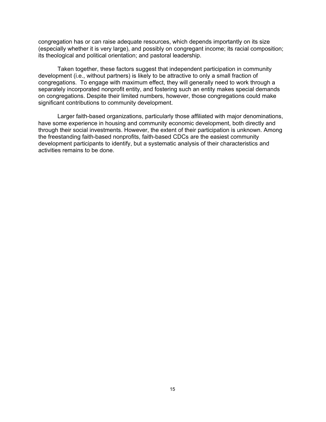congregation has or can raise adequate resources, which depends importantly on its size (especially whether it is very large), and possibly on congregant income; its racial composition; its theological and political orientation; and pastoral leadership.

Taken together, these factors suggest that independent participation in community development (i.e., without partners) is likely to be attractive to only a small fraction of congregations. To engage with maximum effect, they will generally need to work through a separately incorporated nonprofit entity, and fostering such an entity makes special demands on congregations. Despite their limited numbers, however, those congregations could make significant contributions to community development.

Larger faith-based organizations, particularly those affiliated with major denominations, have some experience in housing and community economic development, both directly and through their social investments. However, the extent of their participation is unknown. Among the freestanding faith-based nonprofits, faith-based CDCs are the easiest community development participants to identify, but a systematic analysis of their characteristics and activities remains to be done.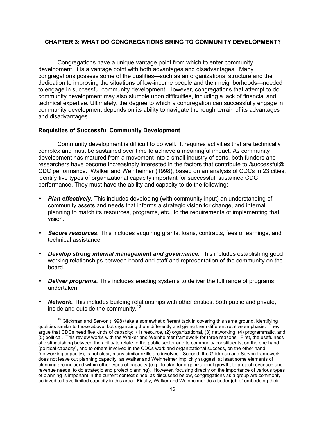# **CHAPTER 3: WHAT DO CONGREGATIONS BRING TO COMMUNITY DEVELOPMENT?**

Congregations have a unique vantage point from which to enter community development. It is a vantage point with both advantages and disadvantages. Many congregations possess some of the qualities—such as an organizational structure and the dedication to improving the situations of low-income people and their neighborhoods—needed to engage in successful community development. However, congregations that attempt to do community development may also stumble upon difficulties, including a lack of financial and technical expertise. Ultimately, the degree to which a congregation can successfully engage in community development depends on its ability to navigate the rough terrain of its advantages and disadvantages.

# **Requisites of Successful Community Development**

Community development is difficult to do well. It requires activities that are technically complex and must be sustained over time to achieve a meaningful impact. As community development has matured from a movement into a small industry of sorts, both funders and researchers have become increasingly interested in the factors that contribute to Asuccessful® CDC performance. Walker and Weinheimer (1998), based on an analysis of CDCs in 23 cities, identify five types of organizational capacity important for successful, sustained CDC performance. They must have the ability and capacity to do the following:

- *Plan effectively***.** This includes developing (with community input) an understanding of community assets and needs that informs a strategic vision for change, and internal planning to match its resources, programs, etc., to the requirements of implementing that vision.
- *Secure resources.* This includes acquiring grants, loans, contracts, fees or earnings, and technical assistance.
- *Develop strong internal management and governance.* This includes establishing good working relationships between board and staff and representation of the community on the board.
- *Deliver programs.* This includes erecting systems to deliver the full range of programs undertaken.
- *Network***.** This includes building relationships with other entities, both public and private, inside and outside the community.<sup>15</sup>

<sup>&</sup>lt;sup>15</sup> Glickman and Servon (1998) take a somewhat different tack in covering this same ground, identifying qualities similar to those above, but organizing them differently and giving them different relative emphasis. They argue that CDCs need five kinds of capacity: (1) resource, (2) organizational, (3) networking, (4) programmatic, and (5) political. This review works with the Walker and Weinheimer framework for three reasons. First, the usefulness of distinguishing between the ability to relate to the public sector and to community constituents, on the one hand (political capacity), and to others involved in the CDCs work and organizational success, on the other hand (networking capacity), is not clear; many similar skills are involved. Second, the Glickman and Servon framework does not leave out planning capacity, as Walker and Weinheimer implicitly suggest; at least some elements of planning are included within other types of capacity (e.g., to plan for organizational growth, to project revenues and revenue needs, to do strategic and project planning). However, focusing directly on the importance of various types of planning is important in the current context since, as discussed below, congregations as a group are commonly believed to have limited capacity in this area. Finally, Walker and Weinheimer do a better job of embedding their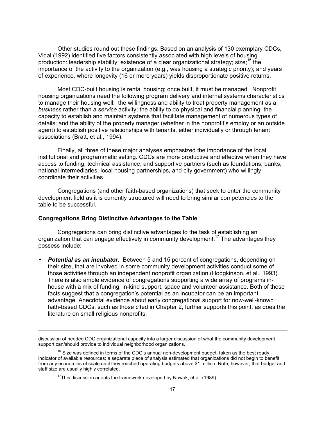Other studies round out these findings. Based on an analysis of 130 exemplary CDCs, Vidal (1992) identified five factors consistently associated with high levels of housing production: leadership stability; existence of a clear organizational strategy; size;<sup>16</sup> the importance of the activity to the organization (e.g., was housing a strategic priority); and years of experience, where longevity (16 or more years) yields disproportionate positive returns.

Most CDC-built housing is rental housing; once built, it must be managed. Nonprofit housing organizations need the following program delivery and internal systems characteristics to manage their housing well: the willingness and ability to treat property management as a *business* rather than a *service* activity; the ability to do physical and financial planning; the capacity to establish and maintain systems that facilitate management of numerous types of details; and the ability of the property manager (whether in the nonprofit's employ or an outside agent) to establish positive relationships with tenants, either individually or through tenant associations (Bratt, et al., 1994).

Finally, all three of these major analyses emphasized the importance of the local institutional and programmatic setting. CDCs are more productive and effective when they have access to funding, technical assistance, and supportive partners (such as foundations, banks, national intermediaries, local housing partnerships, and city government) who willingly coordinate their activities.

Congregations (and other faith-based organizations) that seek to enter the community development field as it is currently structured will need to bring similar competencies to the table to be successful.

# **Congregations Bring Distinctive Advantages to the Table**

Congregations can bring distinctive advantages to the task of establishing an organization that can engage effectively in community development.<sup>17</sup> The advantages they possess include:

• *Potential as an incubator***.** Between 5 and 15 percent of congregations, depending on their size, that are involved in some community development activities conduct some of those activities through an independent nonprofit organization (Hodgkinson, et al., 1993). There is also ample evidence of congregations supporting a wide array of programs inhouse with a mix of funding, in-kind support, space and volunteer assistance. Both of these facts suggest that a congregation's potential as an incubator can be an important advantage. Anecdotal evidence about early congregational support for now-well-known faith-based CDCs, such as those cited in Chapter 2, further supports this point, as does the literature on small religious nonprofits.

discussion of needed CDC organizational capacity into a larger discussion of what the community development support can/should provide to individual neighborhood organizations.

 $16$  Size was defined in terms of the CDC's annual non-development budget, taken as the best ready indicator of available resources; a separate piece of analysis estimated that organizations did not begin to benefit from any economies of scale until they reached operating budgets above \$1 million. Note, however, that budget and staff size are usually highly correlated.

 $17$ This discussion adopts the framework developed by Nowak, et al. (1989).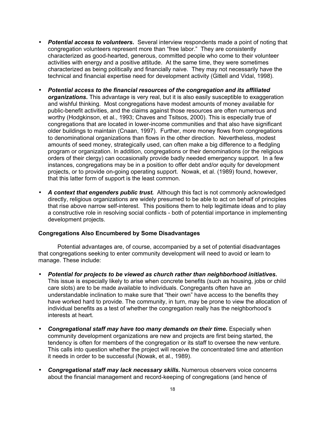- *Potential access to volunteers***.** Several interview respondents made a point of noting that congregation volunteers represent more than "free labor." They are consistently characterized as good-hearted, generous, committed people who come to their volunteer activities with energy and a positive attitude. At the same time, they were sometimes characterized as being politically and financially naive. They may not necessarily have the technical and financial expertise need for development activity (Gittell and Vidal, 1998).
- *Potential access to the financial resources of the congregation and its affiliated organizations***.** This advantage is very real, but it is also easily susceptible to exaggeration and wishful thinking. Most congregations have modest amounts of money available for public-benefit activities, and the claims against those resources are often numerous and worthy (Hodgkinson, et al., 1993; Chaves and Tsitsos, 2000). This is especially true of congregations that are located in lower-income communities and that also have significant older buildings to maintain (Cnaan, 1997). Further, more money flows from congregations to denominational organizations than flows in the other direction. Nevertheless, modest amounts of seed money, strategically used, can often make a big difference to a fledgling program or organization. In addition, congregations or their denominations (or the religious orders of their clergy) can occasionally provide badly needed emergency support. In a few instances, congregations may be in a position to offer debt and/or equity for development projects, or to provide on-going operating support. Nowak, et al. (1989) found, however, that this latter form of support is the least common.
- *A context that engenders public trust.* Although this fact is not commonly acknowledged directly, religious organizations are widely presumed to be able to act on behalf of principles that rise above narrow self-interest. This positions them to help legitimate ideas and to play a constructive role in resolving social conflicts - both of potential importance in implementing development projects.

# **Congregations Also Encumbered by Some Disadvantages**

Potential advantages are, of course, accompanied by a set of potential disadvantages that congregations seeking to enter community development will need to avoid or learn to manage. These include:

- *Potential for projects to be viewed as church rather than neighborhood initiatives***.**  This issue is especially likely to arise when concrete benefits (such as housing, jobs or child care slots) are to be made available to individuals. Congregants often have an understandable inclination to make sure that "their own" have access to the benefits they have worked hard to provide. The community, in turn, may be prone to view the allocation of individual benefits as a test of whether the congregation really has the neighborhood's interests at heart.
- *Congregational staff may have too many demands on their time***.** Especially when community development organizations are new and projects are first being started, the tendency is often for members of the congregation or its staff to oversee the new venture. This calls into question whether the project will receive the concentrated time and attention it needs in order to be successful (Nowak, et al., 1989).
- *Congregational staff may lack necessary skills***.** Numerous observers voice concerns about the financial management and record-keeping of congregations (and hence of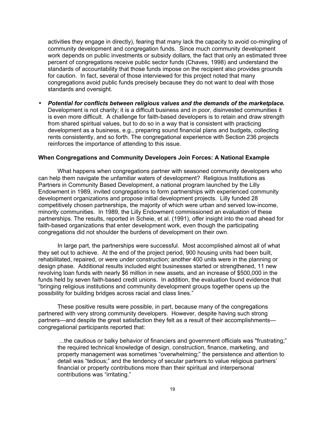activities they engage in directly), fearing that many lack the capacity to avoid co-mingling of community development and congregation funds. Since much community development work depends on public investments or subsidy dollars, the fact that only an estimated three percent of congregations receive public sector funds (Chaves, 1998) and understand the standards of accountability that those funds impose on the recipient also provides grounds for caution. In fact, several of those interviewed for this project noted that many congregations avoid public funds precisely because they do not want to deal with those standards and oversight.

• *Potential for conflicts between religious values and the demands of the marketplace.*  Development is not charity; it is a difficult business and in poor, disinvested communities it is even more difficult. A challenge for faith-based developers is to retain and draw strength from shared spiritual values, but to do so in a way that is consistent with practicing development as a business, e.g., preparing sound financial plans and budgets, collecting rents consistently, and so forth. The congregational experience with Section 236 projects reinforces the importance of attending to this issue.

## **When Congregations and Community Developers Join Forces: A National Example**

What happens when congregations partner with seasoned community developers who can help them navigate the unfamiliar waters of development? Religious Institutions as Partners in Community Based Development, a national program launched by the Lilly Endowment in 1989, invited congregations to form partnerships with experienced community development organizations and propose initial development projects. Lilly funded 28 competitively chosen partnerships, the majority of which were urban and served low-income, minority communities. In 1989, the Lilly Endowment commissioned an evaluation of these partnerships. The results, reported in Scheie, et al. (1991), offer insight into the road ahead for faith-based organizations that enter development work, even though the participating congregations did not shoulder the burdens of development on their own.

In large part, the partnerships were successful. Most accomplished almost all of what they set out to achieve. At the end of the project period, 900 housing units had been built, rehabilitated, repaired, or were under construction; another 400 units were in the planning or design phase. Additional results included eight businesses started or strengthened, 11 new revolving loan funds with nearly \$6 million in new assets, and an increase of \$500,000 in the funds held by seven faith-based credit unions. In addition, the evaluation found evidence that "bringing religious institutions and community development groups together opens up the possibility for building bridges across racial and class lines."

These positive results were possible, in part, because many of the congregations partnered with very strong community developers. However, despite having such strong partners—and despite the great satisfaction they felt as a result of their accomplishments congregational participants reported that:

...the cautious or balky behavior of financiers and government officials was "frustrating;" the required technical knowledge of design, construction, finance, marketing, and property management was sometimes "overwhelming;" the persistence and attention to detail was "tedious;" and the tendency of secular partners to value religious partners' financial or property contributions more than their spiritual and interpersonal contributions was "irritating."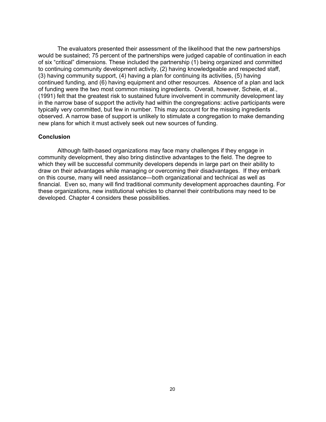The evaluators presented their assessment of the likelihood that the new partnerships would be sustained; 75 percent of the partnerships were judged capable of continuation in each of six "critical" dimensions. These included the partnership (1) being organized and committed to continuing community development activity, (2) having knowledgeable and respected staff, (3) having community support, (4) having a plan for continuing its activities, (5) having continued funding, and (6) having equipment and other resources. Absence of a plan and lack of funding were the two most common missing ingredients. Overall, however, Scheie, et al., (1991) felt that the greatest risk to sustained future involvement in community development lay in the narrow base of support the activity had within the congregations: active participants were typically very committed, but few in number. This may account for the missing ingredients observed. A narrow base of support is unlikely to stimulate a congregation to make demanding new plans for which it must actively seek out new sources of funding.

#### **Conclusion**

Although faith-based organizations may face many challenges if they engage in community development, they also bring distinctive advantages to the field. The degree to which they will be successful community developers depends in large part on their ability to draw on their advantages while managing or overcoming their disadvantages. If they embark on this course, many will need assistance—both organizational and technical as well as financial. Even so, many will find traditional community development approaches daunting. For these organizations, new institutional vehicles to channel their contributions may need to be developed. Chapter 4 considers these possibilities.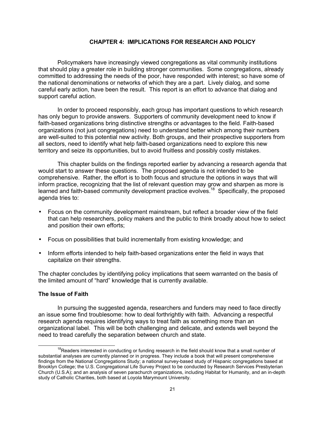# **CHAPTER 4: IMPLICATIONS FOR RESEARCH AND POLICY**

Policymakers have increasingly viewed congregations as vital community institutions that should play a greater role in building stronger communities. Some congregations, already committed to addressing the needs of the poor, have responded with interest; so have some of the national denominations or networks of which they are a part. Lively dialog, and some careful early action, have been the result. This report is an effort to advance that dialog and support careful action.

In order to proceed responsibly, each group has important questions to which research has only begun to provide answers. Supporters of community development need to know if faith-based organizations bring distinctive strengths or advantages to the field. Faith-based organizations (not just congregations) need to understand better which among their numbers are well-suited to this potential new activity. Both groups, and their prospective supporters from all sectors, need to identify what help faith-based organizations need to explore this new territory and seize its opportunities, but to avoid fruitless and possibly costly mistakes.

This chapter builds on the findings reported earlier by advancing a research agenda that would start to answer these questions. The proposed agenda is not intended to be comprehensive. Rather, the effort is to both focus and structure the options in ways that will inform practice, recognizing that the list of relevant question may grow and sharpen as more is learned and faith-based community development practice evolves.<sup>18</sup> Specifically, the proposed agenda tries to:

- Focus on the community development mainstream, but reflect a broader view of the field that can help researchers, policy makers and the public to think broadly about how to select and position their own efforts;
- Focus on possibilities that build incrementally from existing knowledge; and
- Inform efforts intended to help faith-based organizations enter the field in ways that capitalize on their strengths.

The chapter concludes by identifying policy implications that seem warranted on the basis of the limited amount of "hard" knowledge that is currently available.

# **The Issue of Faith**

In pursuing the suggested agenda, researchers and funders may need to face directly an issue some find troublesome: how to deal forthrightly with faith. Advancing a respectful research agenda requires identifying ways to treat faith as something more than an organizational label. This will be both challenging and delicate, and extends well beyond the need to tread carefully the separation between church and state.

 $18R$ eaders interested in conducting or funding research in the field should know that a small number of substantial analyses are currently planned or in progress. They include a book that will present comprehensive findings from the National Congregations Study; a national survey-based study of Hispanic congregations based at Brooklyn College; the U.S. Congregational Life Survey Project to be conducted by Research Services Presbyterian Church (U.S.A); and an analysis of seven parachurch organizations, including Habitat for Humanity, and an in-depth study of Catholic Charities, both based at Loyola Marymount University.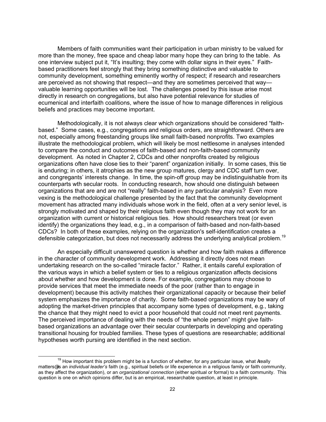Members of faith communities want their participation in urban ministry to be valued for more than the money, free space and cheap labor many hope they can bring to the table. As one interview subject put it, "It's insulting; they come with dollar signs in their eyes." Faithbased practitioners feel strongly that they bring something distinctive and valuable to community development, something eminently worthy of respect; if research and researchers are perceived as not showing that respect—and they are sometimes perceived that way valuable learning opportunities will be lost. The challenges posed by this issue arise most directly in research on congregations, but also have potential relevance for studies of ecumenical and interfaith coalitions, where the issue of how to manage differences in religious beliefs and practices may become important.

Methodologically, it is not always clear which organizations should be considered "faithbased." Some cases, e.g., congregations and religious orders, are straightforward. Others are not, especially among freestanding groups like small faith-based nonprofits. Two examples illustrate the methodological problem, which will likely be most nettlesome in analyses intended to compare the conduct and outcomes of faith-based and non-faith-based community development. As noted in Chapter 2, CDCs and other nonprofits created by religious organizations often have close ties to their "parent" organization initially. In some cases, this tie is enduring; in others, it atrophies as the new group matures, clergy and CDC staff turn over, and congregants' interests change. In time, the spin-off group may be indistinguishable from its counterparts wth secular roots. In conducting research, how should one distinguish between organizations that are and are not "really" faith-based in any particular analysis? Even more vexing is the methodological challenge presented by the fact that the community development movement has attracted many individuals whose work in the field, often at a very senior level, is strongly motivated and shaped by their religious faith even though they may not work for an organization with current or historical religious ties. How should researchers treat (or even identify) the organizations they lead, e.g., in a comparison of faith-based and non-faith-based CDCs? In both of these examples, relying on the organization's self-identification creates a defensible categorization, but does not necessarily address the underlying analytical problem.<sup>19</sup>

An especially difficult unanswered question is whether and how faith makes a difference in the character of community development work. Addressing it directly does not mean undertaking research on the so-called "miracle factor." Rather, it entails careful exploration of the various ways in which a belief system or ties to a religious organization affects decisions about whether and how development is done. For example, congregations may choose to provide services that meet the immediate needs of the poor (rather than to engage in development) because this activity matches their organizational capacity or because their belief system emphasizes the importance of charity. Some faith-based organizations may be wary of adopting the market-driven principles that accompany some types of development, e.g., taking the chance that they might need to evict a poor household that could not meet rent payments. The perceived importance of dealing with the needs of "the whole person" might give faithbased organizations an advantage over their secular counterparts in developing and operating transitional housing for troubled families. These types of questions are researchable; additional hypotheses worth pursing are identified in the next section.

 $19$  How important this problem might be is a function of whether, for any particular issue, what Areally matters@ is an *individual leader's* faith (e.g., spiritual beliefs or life experience in a religious family or faith community, as they affect the organization), or an *organizational connection* (either spiritual or formal) to a faith community. This question is one on which opinions differ, but is an empirical, researchable question, at least in principle.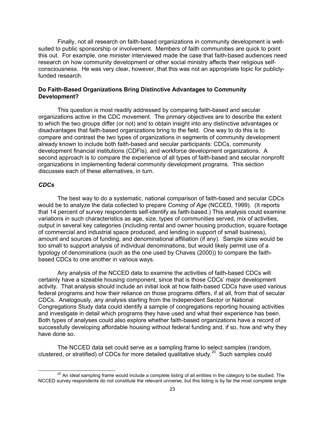Finally, not all research on faith-based organizations in community development is wellsuited to public sponsorship or involvement. Members of faith communities are quick to point this out. For example, one minister interviewed made the case that faith-based audiences need research on how community development or other social ministry affects their religious selfconsciousness. He was very clear, however, that this was not an appropriate topic for publiclyfunded research.

# **Do Faith-Based Organizations Bring Distinctive Advantages to Community Development?**

This question is most readily addressed by comparing faith-based and secular organizations active in the CDC movement. The primary objectives are to describe the extent to which the two groups differ (or not) and to obtain insight into any distinctive advantages or disadvantages that faith-based organizations bring to the field. One way to do this is to compare and contrast the two types of organizations in segments of community development already known to include both faith-based and secular participants: CDCs, community development financial institutions (CDFIs), and workforce development organizations. A second approach is to compare the experience of all types of faith-based and secular nonprofit organizations in implementing federal community development programs. This section discusses each of these alternatives, in turn.

# *CDCs*

The best way to do a systematic, national comparison of faith-based and secular CDCs would be to analyze the data collected to prepare *Coming of Age* (NCCED, 1999). (It reports that 14 percent of survey respondents self-identify as faith-based.) This analysis could examine variations in such characteristics as age, size, types of communities served, mix of activities, output in several key categories (including rental and owner housing production, square footage of commercial and industrial space produced, and lending in support of small business), amount and sources of funding, and denominational affiliation (if any). Sample sizes would be too small to support analysis of individual denominations, but would likely permit use of a typology of denominations (such as the one used by Chaves (2000)) to compare the faithbased CDCs to one another in various ways.

Any analysis of the NCCED data to examine the activities of faith-based CDCs will certainly have a sizeable housing component, since that is those CDCs' major development activity. That analysis should include an initial look at how faith-based CDCs have used various federal programs and how their reliance on those programs differs, if at all, from that of secular CDCs. Analogously, any analysis starting from the Independent Sector or National Congregations Study data could identify a sample of congregations reporting housing activities and investigate in detail which programs they have used and what their experience has been. Both types of analyses could also explore whether faith-based organizations have a record of successfully developing affordable housing without federal funding and, if so, how and why they have done so.

The NCCED data set could serve as a sampling frame to select samples (random, clustered, or stratified) of CDCs for more detailed qualitative study.<sup>20</sup> Such samples could

<sup>&</sup>lt;sup>20</sup> An ideal sampling frame would include a complete listing of all entities in the category to be studied. The NCCED survey respondents do not constitute the relevant universe, but this listing is by far the most complete single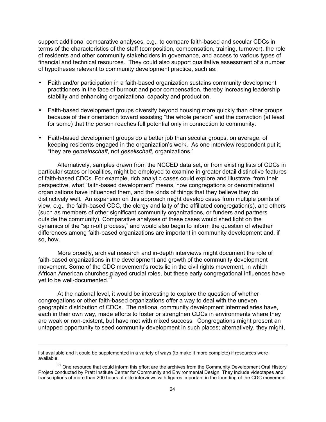support additional comparative analyses, e.g., to compare faith-based and secular CDCs in terms of the characteristics of the staff (composition, compensation, training, turnover), the role of residents and other community stakeholders in governance, and access to various types of financial and technical resources. They could also support qualitative assessment of a number of hypotheses relevant to community development practice, such as:

- Faith and/or participation in a faith-based organization sustains community development practitioners in the face of burnout and poor compensation, thereby increasing leadership stability and enhancing organizational capacity and production.
- Faith-based development groups diversify beyond housing more quickly than other groups because of their orientation toward assisting "the whole person" and the conviction (at least for some) that the person reaches full potential only in connection to community.
- Faith-based development groups do a better job than secular groups, on average, of keeping residents engaged in the organization's work. As one interview respondent put it, "they are *gemeinschaft*, not *gesellschaft*, organizations."

Alternatively, samples drawn from the NCCED data set, or from existing lists of CDCs in particular states or localities, might be employed to examine in greater detail distinctive features of faith-based CDCs. For example, rich analytic cases could explore and illustrate, from their perspective, what "faith-based development" means, how congregations or denominational organizations have influenced them, and the kinds of things that they believe they do distinctively well. An expansion on this approach might develop cases from multiple points of view, e.g., the faith-based CDC, the clergy and laity of the affiliated congregation(s), and others (such as members of other significant community organizations, or funders and partners outside the community). Comparative analyses of these cases would shed light on the dynamics of the "spin-off process," and would also begin to inform the question of whether differences among faith-based organizations are important in community development and, if so, how.

More broadly, archival research and in-depth interviews might document the role of faith-based organizations in the development and growth of the community development movement. Some of the CDC movement's roots lie in the civil rights movement, in which African American churches played crucial roles, but these early congregational influences have yet to be well-documented.<sup>21</sup>

At the national level, it would be interesting to explore the question of whether congregations or other faith-based organizations offer a way to deal with the uneven geographic distribution of CDCs. The national community development intermediaries have, each in their own way, made efforts to foster or strengthen CDCs in environments where they are weak or non-existent, but have met with mixed success. Congregations might present an untapped opportunity to seed community development in such places; alternatively, they might,

list available and it could be supplemented in a variety of ways (to make it more complete) if resources were available.

<sup>&</sup>lt;sup>21</sup> One resource that could inform this effort are the archives from the Community Development Oral History Project conducted by Pratt Institute Center for Community and Environmental Design. They include videotapes and transcriptions of more than 200 hours of elite interviews with figures important in the founding of the CDC movement.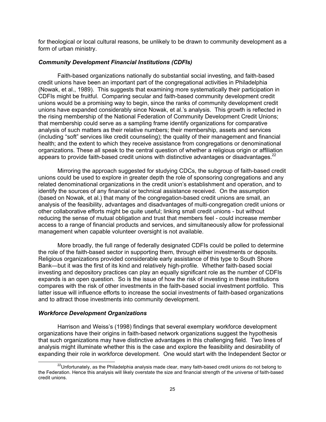for theological or local cultural reasons, be unlikely to be drawn to community development as a form of urban ministry.

## *Community Development Financial Institutions (CDFIs)*

Faith-based organizations nationally do substantial social investing, and faith-based credit unions have been an important part of the congregational activities in Philadelphia (Nowak, et al., 1989). This suggests that examining more systematically their participation in CDFIs might be fruitful. Comparing secular and faith-based community development credit unions would be a promising way to begin, since the ranks of community development credit unions have expanded considerably since Nowak, et al.'s analysis. This growth is reflected in the rising membership of the National Federation of Community Development Credit Unions; that membership could serve as a sampling frame identify organizations for comparative analysis of such matters as their relative numbers; their membership, assets and services (including "soft" services like credit counseling); the quality of their management and financial health; and the extent to which they receive assistance from congregations or denominational organizations. These all speak to the central question of whether a religious origin or affiliation appears to provide faith-based credit unions with distinctive advantages or disadvantages.<sup>22</sup>

Mirroring the approach suggested for studying CDCs, the subgroup of faith-based credit unions could be used to explore in greater depth the role of sponsoring congregations and any related denominational organizations in the credit union's establishment and operation, and to identify the sources of any financial or technical assistance received. On the assumption (based on Nowak, et al.) that many of the congregation-based credit unions are small, an analysis of the feasibility, advantages and disadvantages of multi-congregation credit unions or other collaborative efforts might be quite useful; linking small credit unions - but without reducing the sense of mutual obligation and trust that members feel - could increase member access to a range of financial products and services, and simultaneously allow for professional management when capable volunteer oversight is not available.

More broadly, the full range of federally designated CDFIs could be polled to determine the role of the faith-based sector in supporting them, through either investments or deposits. Religious organizations provided considerable early assistance of this type to South Shore Bank—but it was the first of its kind and relatively high-profile. Whether faith-based social investing and depository practices can play an equally significant role as the number of CDFIs expands is an open question. So is the issue of how the risk of investing in these institutions compares with the risk of other investments in the faith-based social investment portfolio. This latter issue will influence efforts to increase the social investments of faith-based organizations and to attract those investments into community development.

## *Workforce Development Organizations*

Harrison and Weiss's (1998) findings that several exemplary workforce development organizations have their origins in faith-based network organizations suggest the hypothesis that such organizations may have distinctive advantages in this challenging field. Two lines of analysis might illuminate whether this is the case and explore the feasibility and desirability of expanding their role in workforce development. One would start with the Independent Sector or

 $^{22}$ Unfortunately, as the Philadelphia analysis made clear, many faith-based credit unions do not belong to the Federation. Hence this analysis will likely overstate the size and financial strength of the universe of faith-based credit unions.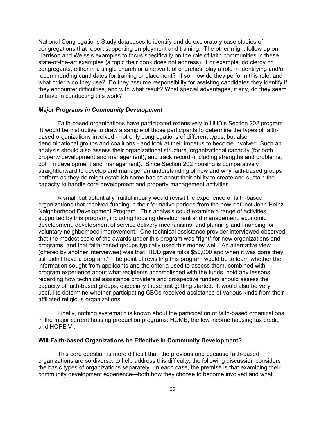National Congregations Study databases to identify and do exploratory case studies of congregations that report supporting employment and training. The other might follow up on Harrison and Weiss's examples to focus specifically on the role of faith communities in these state-of-the-art examples (a topic their book does not address). For example, do clergy or congregants, either in a single church or a network of churches, play a role in identifying and/or recommending candidates for training or placement? If so, how do they perform this role, and what criteria do they use? Do they assume responsibility for assisting candidates they identify if they encounter difficulties, and with what result? What special advantages, if any, do they seem to have in conducting this work?

## *Major Programs in Community Development*

Faith-based organizations have participated extensively in HUD's Section 202 program. It would be instructive to draw a sample of those participants to determine the types of faithbased organizations involved - not only congregations of different types, but also denominational groups and coalitions - and look at their impetus to become involved. Such an analysis should also assess their organizational structure, organizational capacity (for both property development and management), and track record (including strengths and problems, both in development and management). Since Section 202 housing is comparatively straightforward to develop and manage, an understanding of how and why faith-based groups perform as they do might establish some basics about their ability to create and sustain the capacity to handle core development and property management activities.

A small but potentially fruitful inquiry would revisit the experience of faith-based organizations that received funding in their formative periods from the now-defunct John Heinz Neighborhood Development Program. This analysis could examine a range of activities supported by this program, including housing development and management, economic development, development of service delivery mechanisms, and planning and financing for voluntary neighborhood improvement. One technical assistance provider interviewed observed that the modest scale of the awards under this program was "right" for new organizations and programs, and that faith-based groups typically used this money well. An alternative view (offered by another interviewee) was that "HUD gave folks \$50,000 and when it was gone they still didn't have a program." The point of revisiting this program would be to learn whether the information sought from applicants and the criteria used to assess them, combined with program experience about what recipients accomplished with the funds, hold any lessons regarding how technical assistance providers and prospective funders should assess the capacity of faith-based groups, especially those just getting started. It would also be very useful to determine whether participating CBOs received assistance of various kinds from their affiliated religious organizations.

Finally, nothing systematic is known about the participation of faith-based organizations in the major current housing production programs: HOME, the low income housing tax credit, and HOPE VI.

#### **Will Faith-based Organizations be Effective in Community Development?**

This core question is more difficult than the previous one because faith-based organizations are so diverse; to help address this difficulty, the following discussion considers the basic types of organizations separately. In each case, the premise is that examining their community development experience—both how they choose to become involved and what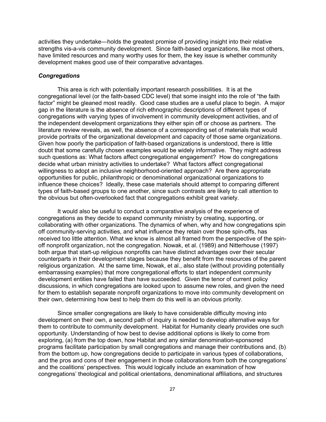activities they undertake—holds the greatest promise of providing insight into their relative strengths vis-a-vis community development. Since faith-based organizations, like most others, have limited resources and many worthy uses for them, the key issue is whether community development makes good use of their comparative advantages.

# *Congregations*

This area is rich with potentially important research possibilities. It is at the congregational level (or the faith-based CDC level) that some insight into the role of "the faith factor" might be gleaned most readily. Good case studies are a useful place to begin. A major gap in the literature is the absence of rich ethnographic descriptions of different types of congregations with varying types of involvement in community development activities, and of the independent development organizations they either spin off or choose as partners. The literature review reveals, as well, the absence of a corresponding set of materials that would provide portraits of the organizational development and capacity of those same organizations. Given how poorly the participation of faith-based organizations is understood, there is little doubt that some carefully chosen examples would be widely informative. They might address such questions as: What factors affect congregational engagement? How do congregations decide what urban ministry activities to undertake? What factors affect congregational willingness to adopt an inclusive neighborhood-oriented approach? Are there appropriate opportunities for public, philanthropic or denominational organizational organizations to influence these choices? Ideally, these case materials should attempt to comparing different types of faith-based groups to one another, since such contrasts are likely to call attention to the obvious but often-overlooked fact that congregations exhibit great variety.

It would also be useful to conduct a comparative analysis of the experience of congregations as they decide to expand community ministry by creating, supporting, or collaborating with other organizations. The dynamics of when, why and how congregations spin off community-serving activities, and what influence they retain over those spin-offs, has received too little attention. What we know is almost all framed from the perspective of the spinoff nonprofit organization, not the congregation. Nowak, et al. (1989) and Nitterhouse (1997) both argue that start-up religious nonprofits can have distinct advantages over their secular counterparts in their development stages because they benefit from the resources of the parent religious organization. At the same time, Nowak, et al., also state (without providing potentially embarrassing examples) that more congregational efforts to start independent community development entities have failed than have succeeded. Given the tenor of current policy discussions, in which congregations are looked upon to assume new roles, and given the need for them to establish separate nonprofit organizations to move into community development on their own, determining how best to help them do this well is an obvious priority.

Since smaller congregations are likely to have considerable difficulty moving into development on their own, a second path of inquiry is needed to develop alternative ways for them to contribute to community development. Habitat for Humanity clearly provides one such opportunity. Understanding of how best to devise additional options is likely to come from exploring, (a) from the top down, how Habitat and any similar denomination-sponsored programs facilitate participation by small congregations and manage their contributions and, (b) from the bottom up, how congregations decide to participate in various types of collaborations, and the pros and cons of their engagement in those collaborations from both the congregations' and the coalitions' perspectives. This would logically include an examination of how congregations' theological and political orientations, denominational affiliations, and structures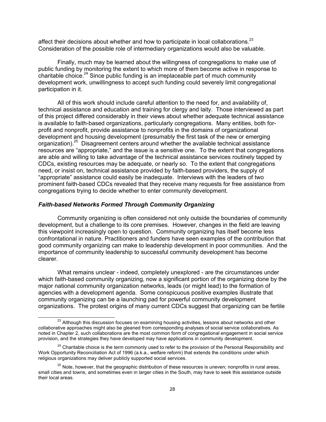affect their decisions about whether and how to participate in local collaborations. $^{23}$ Consideration of the possible role of intermediary organizations would also be valuable.

Finally, much may be learned about the willingness of congregations to make use of public funding by monitoring the extent to which more of them become active in response to charitable choice.<sup>24</sup> Since public funding is an irreplaceable part of much community development work, unwillingness to accept such funding could severely limit congregational participation in it.

All of this work should include careful attention to the need for, and availability of, technical assistance and education and training for clergy and laity. Those interviewed as part of this project differed considerably in their views about whether adequate technical assistance is available to faith-based organizations, particularly congregations. Many entities, both forprofit and nonprofit, provide assistance to nonprofits in the domains of organizational development and housing development (presumably the first task of the new or emerging organization).<sup>25</sup> Disagreement centers around whether the available technical assistance resources are "appropriate," and the issue is a sensitive one. To the extent that congregations are able and willing to take advantage of the technical assistance services routinely tapped by CDCs, existing resources may be adequate, or nearly so. To the extent that congregations need, or insist on, technical assistance provided by faith-based providers, the supply of "appropriate" assistance could easily be inadequate. Interviews with the leaders of two prominent faith-based CDCs revealed that they receive many requests for free assistance from congregations trying to decide whether to enter community development.

# *Faith-based Networks Formed Through Community Organizing*

Community organizing is often considered not only outside the boundaries of community development, but a challenge to its core premises. However, changes in the field are leaving this viewpoint increasingly open to question. Community organizing has itself become less confrontational in nature. Practitioners and funders have seen examples of the contribution that good community organizing can make to leadership development in poor communities. And the importance of community leadership to successful community development has become clearer.

What remains unclear - indeed, completely unexplored - are the circumstances under which faith-based community organizing, now a significant portion of the organizing done by the major national community organization networks, leads (or might lead) to the formation of agencies with a development agenda. Some conspicuous positive examples illustrate that community organizing can be a launching pad for powerful community development organizations. The protest origins of many current CDCs suggest that organizing can be fertile

<sup>&</sup>lt;sup>23</sup> Although this discussion focuses on examining housing activities, lessons about networks and other collaborative approaches might also be gleaned from corresponding analyses of social service collaboratives. As noted in Chapter 2, such collaborations are the most common form of congregational engagement in social service provision, and the strategies they have developed may have applications in community development.

<sup>&</sup>lt;sup>24</sup> Charitable choice is the term commonly used to refer to the provision of the Personal Responsibility and Work Opportunity Reconciliation Act of 1996 (a.k.a., welfare reform) that extends the conditions under which religious organizations may deliver publicly supported social services.

 $25$  Note, however, that the geographic distribution of these resources is uneven; nonprofits in rural areas, small cities and towns, and sometimes even in larger cities in the South, may have to seek this assistance outside their local areas.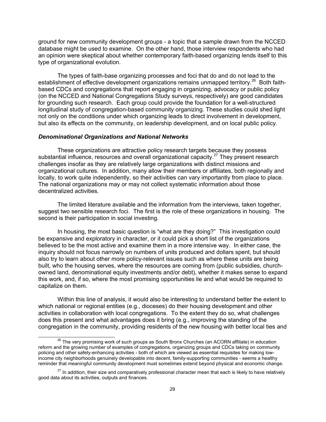ground for new community development groups - a topic that a sample drawn from the NCCED database might be used to examine. On the other hand, those interview respondents who had an opinion were skeptical about whether contemporary faith-based organizing lends itself to this type of organizational evolution.

The types of faith-base organizing processes and foci that do and do not lead to the establishment of effective development organizations remains unmapped territory.<sup>26</sup> Both faithbased CDCs and congregations that report engaging in organizing, advocacy or public policy (on the NCCED and National Congregations Study surveys, respectively) are good candidates for grounding such research. Each group could provide the foundation for a well-structured longitudinal study of congregation-based community organizing. These studies could shed light not only on the conditions under which organizing leads to direct involvement in development, but also its effects on the community, on leadership development, and on local public policy.

#### *Denominational Organizations and National Networks*

These organizations are attractive policy research targets because they possess substantial influence, resources and overall organizational capacity.<sup>27</sup> They present research challenges insofar as they are relatively large organizations with distinct missions and organizational cultures. In addition, many allow their members or affiliates, both regionally and locally, to work quite independently, so their activities can vary importantly from place to place. The national organizations may or may not collect systematic information about those decentralized activities.

The limited literature available and the information from the interviews, taken together, suggest two sensible research foci. The first is the role of these organizations in housing. The second is their participation in social investing.

In housing, the most basic question is "what are they doing?" This investigation could be expansive and exploratory in character, or it could pick a short list of the organizations believed to be the most active and examine them in a more intensive way. In either case, the inquiry should not focus narrowly on numbers of units produced and dollars spent, but should also try to learn about other more policy-relevant issues such as where these units are being built, who the housing serves, where the resources are coming from (public subsidies, churchowned land, denominational equity investments and/or debt), whether it makes sense to expand this work, and, if so, where the most promising opportunities lie and what would be required to capitalize on them.

Within this line of analysis, it would also be interesting to understand better the extent to which national or regional entities (e.g., dioceses) do their housing development and other activities in collaboration with local congregations. To the extent they do so, what challenges does this present and what advantages does it bring (e.g., improving the standing of the congregation in the community, providing residents of the new housing with better local ties and

<sup>&</sup>lt;sup>26</sup> The very promising work of such groups as South Bronx Churches (an ACORN affiliate) in education reform and the growing number of examples of congregations, organizing groups and CDCs taking on community policing and other safety-enhancing activities - both of which are viewed as essential requisites for making lowincome city neighborhoods genuinely developable into decent, family-supporting communities - seems a healthy reminder that meaningful community development must sometimes extend beyond physical and economic change.

 $27$  In addition, their size and comparatively professional character mean that each is likely to have relatively good data about its activities, outputs and finances.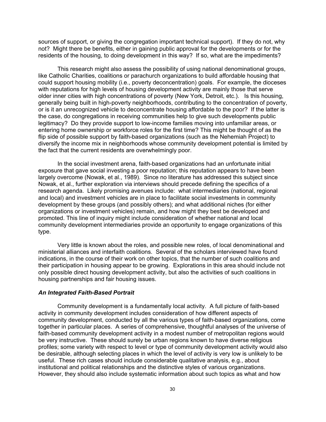sources of support, or giving the congregation important technical support). If they do not, why not? Might there be benefits, either in gaining public approval for the developments or for the residents of the housing, to doing development in this way? If so, what are the impediments?

This research might also assess the possibility of using national denominational groups, like Catholic Charities, coalitions or parachurch organizations to build affordable housing that could support housing mobility (i.e., poverty deconcentration) goals. For example, the dioceses with reputations for high levels of housing development activity are mainly those that serve older inner cities with high concentrations of poverty (New York, Detroit, etc.). Is this housing, generally being built in high-poverty neighborhoods, contributing to the concentration of poverty, or is it an unrecognized vehicle to deconcentrate housing affordable to the poor? If the latter is the case, do congregations in receiving communities help to give such developments public legitimacy? Do they provide support to low-income families moving into unfamiliar areas, or entering home ownership or workforce roles for the first time? This might be thought of as the flip side of possible support by faith-based organizations (such as the Nehemiah Project) to diversify the income mix in neighborhoods whose community development potential is limited by the fact that the current residents are overwhelmingly poor.

In the social investment arena, faith-based organizations had an unfortunate initial exposure that gave social investing a poor reputation; this reputation appears to have been largely overcome (Nowak, et al., 1989). Since no literature has addressed this subject since Nowak, et al., further exploration via interviews should precede defining the specifics of a research agenda. Likely promising avenues include: what intermediaries (national, regional and local) and investment vehicles are in place to facilitate social investments in community development by these groups (and possibly others); and what additional niches (for either organizations or investment vehicles) remain, and how might they best be developed and promoted. This line of inquiry might include consideration of whether national and local community development intermediaries provide an opportunity to engage organizations of this type.

Very little is known about the roles, and possible new roles, of local denominational and ministerial alliances and interfaith coalitions. Several of the scholars interviewed have found indications, in the course of their work on other topics, that the number of such coalitions and their participation in housing appear to be growing. Explorations in this area should include not only possible direct housing development activity, but also the activities of such coalitions in housing partnerships and fair housing issues.

## *An Integrated Faith-Based Portrait*

Community development is a fundamentally local activity. A full picture of faith-based activity in community development includes consideration of how different aspects of community development, conducted by all the various types of faith-based organizations, come together in particular places. A series of comprehensive, thoughtful analyses of the universe of faith-based community development activity in a modest number of metropolitan regions would be very instructive. These should surely be urban regions known to have diverse religious profiles; some variety with respect to level or type of community development activity would also be desirable, although selecting places in which the level of activity is very low is unlikely to be useful. These rich cases should include considerable qualitative analysis, e.g., about institutional and political relationships and the distinctive styles of various organizations. However, they should also include systematic information about such topics as what and how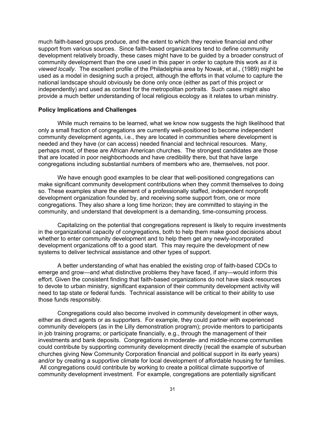much faith-based groups produce, and the extent to which they receive financial and other support from various sources. Since faith-based organizations tend to define community development relatively broadly, these cases might have to be guided by a broader construct of community development than the one used in this paper in order to capture this work *as it is viewed locally*. The excellent profile of the Philadelphia area by Nowak, et al., (1989) might be used as a model in designing such a project, although the efforts in that volume to capture the national landscape should obviously be done only once (either as part of this project or independently) and used as context for the metropolitan portraits. Such cases might also provide a much better understanding of local religious ecology as it relates to urban ministry.

## **Policy Implications and Challenges**

While much remains to be learned, what we know now suggests the high likelihood that only a small fraction of congregations are currently well-positioned to become independent community development agents, i.e., they are located in communities where development is needed and they have (or can access) needed financial and technical resources. Many, perhaps most, of these are African American churches. The strongest candidates are those that are located in poor neighborhoods and have credibility there, but that have large congregations including substantial numbers of members who are, themselves, not poor.

We have enough good examples to be clear that well-positioned congregations can make significant community development contributions when they commit themselves to doing so. These examples share the element of a professionally staffed, independent nonprofit development organization founded by, and receiving some support from, one or more congregations. They also share a long time horizon; they are committed to staying in the community, and understand that development is a demanding, time-consuming process.

Capitalizing on the potential that congregations represent is likely to require investments in the organizational capacity of congregations, both to help them make good decisions about whether to enter community development and to help them get any newly-incorporated development organizations off to a good start. This may require the development of new systems to deliver technical assistance and other types of support.

A better understanding of what has enabled the existing crop of faith-based CDCs to emerge and grow—and what distinctive problems they have faced, if any—would inform this effort. Given the consistent finding that faith-based organizations do not have slack resources to devote to urban ministry, significant expansion of their community development activity will need to tap state or federal funds. Technical assistance will be critical to their ability to use those funds responsibly.

Congregations could also become involved in community development in other ways, either as direct agents or as supporters. For example, they could partner with experienced community developers (as in the Lilly demonstration program); provide mentors to participants in job training programs; or participate financially, e.g., through the management of their investments and bank deposits. Congregations in moderate- and middle-income communities could contribute by supporting community development directly (recall the example of suburban churches giving New Community Corporation financial and political support in its early years) and/or by creating a supportive climate for local development of affordable housing for families. All congregations could contribute by working to create a political climate supportive of community development investment. For example, congregations are potentially significant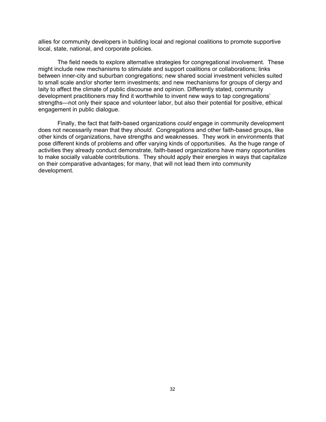allies for community developers in building local and regional coalitions to promote supportive local, state, national, and corporate policies.

The field needs to explore alternative strategies for congregational involvement. These might include new mechanisms to stimulate and support coalitions or collaborations; links between inner-city and suburban congregations; new shared social investment vehicles suited to small scale and/or shorter term investments; and new mechanisms for groups of clergy and laity to affect the climate of public discourse and opinion. Differently stated, community development practitioners may find it worthwhile to invent new ways to tap congregations' strengths—not only their space and volunteer labor, but also their potential for positive, ethical engagement in public dialogue.

Finally, the fact that faith-based organizations *could* engage in community development does not necessarily mean that they *should*. Congregations and other faith-based groups, like other kinds of organizations, have strengths and weaknesses. They work in environments that pose different kinds of problems and offer varying kinds of opportunities. As the huge range of activities they already conduct demonstrate, faith-based organizations have many opportunities to make socially valuable contributions. They should apply their energies in ways that capitalize on their comparative advantages; for many, that will not lead them into community development.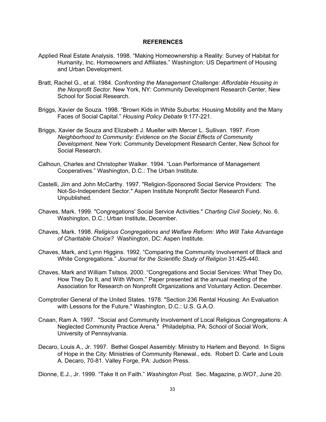#### **REFERENCES**

- Applied Real Estate Analysis. 1998. "Making Homeownership a Reality: Survey of Habitat for Humanity, Inc. Homeowners and Affiliates." Washington: US Department of Housing and Urban Development.
- Bratt, Rachel G., et al. 1984. *Confronting the Management Challenge: Affordable Housing in the Nonprofit Sector.* New York, NY: Community Development Research Center, New School for Social Research.
- Briggs, Xavier de Souza. 1998. "Brown Kids in White Suburbs: Housing Mobility and the Many Faces of Social Capital." *Housing Policy Debate* 9:177-221.
- Briggs, Xavier de Souza and Elizabeth J. Mueller with Mercer L. Sullivan. 1997. *From Neighborhood to Community: Evidence on the Social Effects of Community Development*. New York: Community Development Research Center, New School for Social Research.
- Calhoun, Charles and Christopher Walker. 1994. "Loan Performance of Management Cooperatives." Washington, D.C.: The Urban Institute.
- Castelli, Jim and John McCarthy. 1997. "Religion-Sponsored Social Service Providers: The Not-So-Independent Sector." Aspen Institute Nonprofit Sector Research Fund. Unpublished.
- Chaves, Mark. 1999. "Congregations' Social Service Activities." *Charting Civil Society*, No. 6. Washington, D.C.: Urban Institute, December.
- Chaves, Mark. 1998. *Religious Congregations and Welfare Reform: Who Will Take Advantage of Charitable Choice?* Washington, DC: Aspen Institute.
- Chaves, Mark, and Lynn Higgins. 1992. "Comparing the Community Involvement of Black and White Congregations." *Journal for the Scientific Study of Religion* 31:425-440.
- Chaves, Mark and William Tsitsos. 2000. "Congregations and Social Services: What They Do, How They Do It, and With Whom." Paper presented at the annual meeting of the Association for Research on Nonprofit Organizations and Voluntary Action. December.
- Comptroller General of the United States. 1978. "Section 236 Rental Housing: An Evaluation with Lessons for the Future." Washington, D.C.: U.S. G.A.O.
- Cnaan, Ram A. 1997. "Social and Community Involvement of Local Religious Congregations: A Neglected Community Practice Arena." Philadelphia, PA: School of Social Work, University of Pennsylvania.
- Decaro, Louis A., Jr. 1997. Bethel Gospel Assembly: Ministry to Harlem and Beyond. In Signs of Hope in the City: Ministries of Community Renewal., eds. Robert D. Carle and Louis A. Decaro, 70-81. Valley Forge, PA: Judson Press.

Dionne, E.J., Jr. 1999. "Take It on Faith." *Washington Post.* Sec. Magazine, p.WO7, June 20.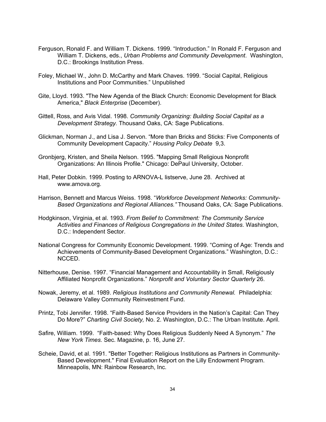- Ferguson, Ronald F. and William T. Dickens. 1999. "Introduction." In Ronald F. Ferguson and William T. Dickens, eds., *Urban Problems and Community Development*. Washington, D.C.: Brookings Institution Press.
- Foley, Michael W., John D. McCarthy and Mark Chaves. 1999. "Social Capital, Religious Institutions and Poor Communities." Unpublished
- Gite, Lloyd. 1993. "The New Agenda of the Black Church: Economic Development for Black America," *Black Enterprise* (December).
- Gittell, Ross, and Avis Vidal. 1998. *Community Organizing: Building Social Capital as a Development Strategy.* Thousand Oaks, CA: Sage Publications.
- Glickman, Norman J., and Lisa J. Servon. "More than Bricks and Sticks: Five Components of Community Development Capacity." *Housing Policy Debate* 9,3.
- Gronbjerg, Kristen, and Sheila Nelson. 1995. "Mapping Small Religious Nonprofit Organizations: An Illinois Profile." Chicago: DePaul University, October.
- Hall, Peter Dobkin. 1999. Posting to ARNOVA-L listserve, June 28. Archived at www.arnova.org.
- Harrison, Bennett and Marcus Weiss. 1998. "*Workforce Development Networks: Community-Based Organizations and Regional Alliances."* Thousand Oaks, CA: Sage Publications.
- Hodgkinson, Virginia, et al. 1993. *From Belief to Commitment: The Community Service Activities and Finances of Religious Congregations in the United States*. Washington, D.C.: Independent Sector.
- National Congress for Community Economic Development. 1999. "Coming of Age: Trends and Achievements of Community-Based Development Organizations." Washington, D.C.: NCCED.
- Nitterhouse, Denise. 1997. "Financial Management and Accountability in Small, Religiously Affiliated Nonprofit Organizations." *Nonprofit and Voluntary Sector Quarterly* 26.
- Nowak, Jeremy, et al. 1989. *Religious Institutions and Community Renewal.* Philadelphia: Delaware Valley Community Reinvestment Fund.
- Printz, Tobi Jennifer. 1998. "Faith-Based Service Providers in the Nation's Capital: Can They Do More?" *Charting Civil Society,* No. 2. Washington, D.C.: The Urban Institute. April.
- Safire, William. 1999. "Faith-based: Why Does Religious Suddenly Need A Synonym." *The New York Times.* Sec. Magazine, p. 16, June 27.
- Scheie, David, et al. 1991. "Better Together: Religious Institutions as Partners in Community-Based Development." Final Evaluation Report on the Lilly Endowment Program. Minneapolis, MN: Rainbow Research, Inc.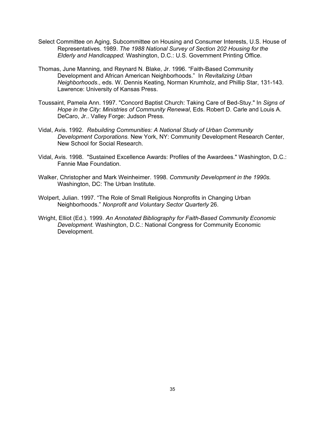- Select Committee on Aging, Subcommittee on Housing and Consumer Interests, U.S. House of Representatives. 1989. *The 1988 National Survey of Section 202 Housing for the Elderly and Handicapped.* Washington, D.C.: U.S. Government Printing Office.
- Thomas, June Manning, and Reynard N. Blake, Jr. 1996. "Faith-Based Community Development and African American Neighborhoods." In *Revitalizing Urban Neighborhoods*., eds. W. Dennis Keating, Norman Krumholz, and Phillip Star, 131-143. Lawrence: University of Kansas Press.
- Toussaint, Pamela Ann. 1997. "Concord Baptist Church: Taking Care of Bed-Stuy." In *Signs of Hope in the City: Ministries of Community Renewal*, Eds. Robert D. Carle and Louis A. DeCaro, Jr.. Valley Forge: Judson Press.
- Vidal, Avis. 1992. *Rebuilding Communities: A National Study of Urban Community Development Corporations.* New York, NY: Community Development Research Center, New School for Social Research.
- Vidal, Avis. 1998. "Sustained Excellence Awards: Profiles of the Awardees." Washington, D.C.: Fannie Mae Foundation.
- Walker, Christopher and Mark Weinheimer. 1998. *Community Development in the 1990s.*  Washington, DC: The Urban Institute.
- Wolpert, Julian. 1997. "The Role of Small Religious Nonprofits in Changing Urban Neighborhoods." *Nonprofit and Voluntary Sector Quarterly* 26.
- Wright, Elliot (Ed.). 1999. *An Annotated Bibliography for Faith-Based Community Economic Development.* Washington, D.C.: National Congress for Community Economic Development.